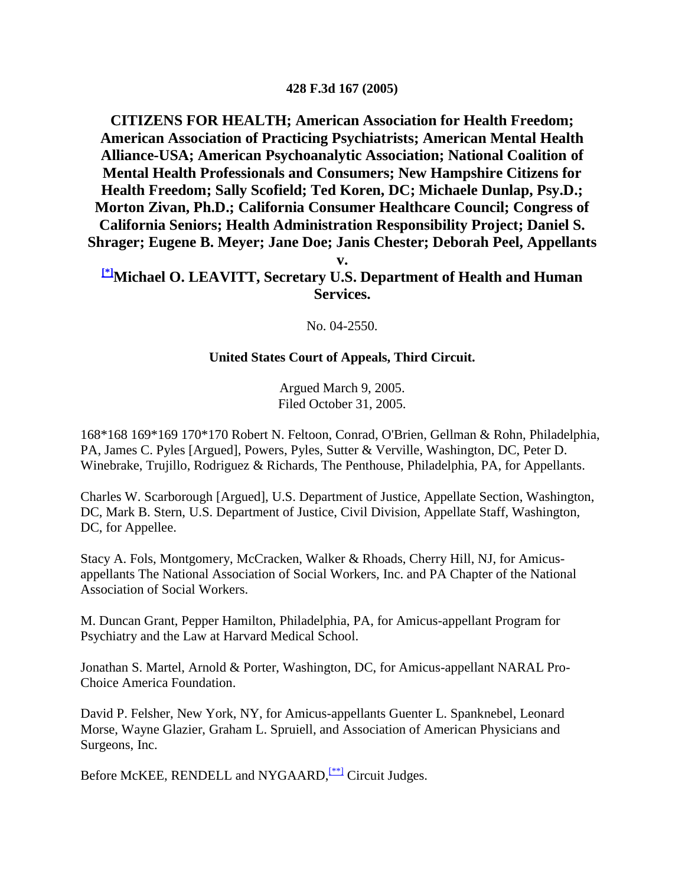#### **428 F.3d 167 (2005)**

**CITIZENS FOR HEALTH; American Association for Health Freedom; American Association of Practicing Psychiatrists; American Mental Health Alliance-USA; American Psychoanalytic Association; National Coalition of Mental Health Professionals and Consumers; New Hampshire Citizens for Health Freedom; Sally Scofield; Ted Koren, DC; Michaele Dunlap, Psy.D.; Morton Zivan, Ph.D.; California Consumer Healthcare Council; Congress of California Seniors; Health Administration Responsibility Project; Daniel S. Shrager; Eugene B. Meyer; Jane Doe; Janis Chester; Deborah Peel, Appellants v.**

#### **[\[\\*\]](http://scholar.google.co.in/scholar_case?q=citizens+for+health+v.+leavitt&hl=en&as_sdt=2,5&case=9374757466978555083&scilh=0#[1])Michael O. LEAVITT, Secretary U.S. Department of Health and Human Services.**

No. 04-2550.

#### **United States Court of Appeals, Third Circuit.**

Argued March 9, 2005. Filed October 31, 2005.

168\*168 169\*169 170\*170 Robert N. Feltoon, Conrad, O'Brien, Gellman & Rohn, Philadelphia, PA, James C. Pyles [Argued], Powers, Pyles, Sutter & Verville, Washington, DC, Peter D. Winebrake, Trujillo, Rodriguez & Richards, The Penthouse, Philadelphia, PA, for Appellants.

Charles W. Scarborough [Argued], U.S. Department of Justice, Appellate Section, Washington, DC, Mark B. Stern, U.S. Department of Justice, Civil Division, Appellate Staff, Washington, DC, for Appellee.

Stacy A. Fols, Montgomery, McCracken, Walker & Rhoads, Cherry Hill, NJ, for Amicusappellants The National Association of Social Workers, Inc. and PA Chapter of the National Association of Social Workers.

M. Duncan Grant, Pepper Hamilton, Philadelphia, PA, for Amicus-appellant Program for Psychiatry and the Law at Harvard Medical School.

Jonathan S. Martel, Arnold & Porter, Washington, DC, for Amicus-appellant NARAL Pro-Choice America Foundation.

David P. Felsher, New York, NY, for Amicus-appellants Guenter L. Spanknebel, Leonard Morse, Wayne Glazier, Graham L. Spruiell, and Association of American Physicians and Surgeons, Inc.

Before McKEE, RENDELL and NYGAARD,<sup>[\[\\*\\*\]](http://scholar.google.co.in/scholar_case?q=citizens+for+health+v.+leavitt&hl=en&as_sdt=2,5&case=9374757466978555083&scilh=0#[2])</sup> Circuit Judges.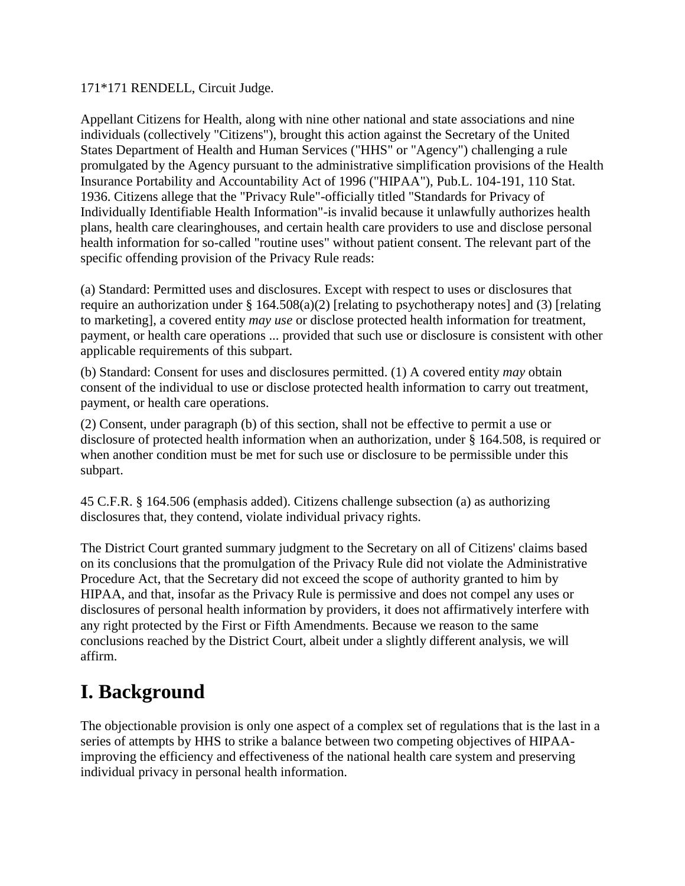171\*171 RENDELL, Circuit Judge.

Appellant Citizens for Health, along with nine other national and state associations and nine individuals (collectively "Citizens"), brought this action against the Secretary of the United States Department of Health and Human Services ("HHS" or "Agency") challenging a rule promulgated by the Agency pursuant to the administrative simplification provisions of the Health Insurance Portability and Accountability Act of 1996 ("HIPAA"), Pub.L. 104-191, 110 Stat. 1936. Citizens allege that the "Privacy Rule"-officially titled "Standards for Privacy of Individually Identifiable Health Information"-is invalid because it unlawfully authorizes health plans, health care clearinghouses, and certain health care providers to use and disclose personal health information for so-called "routine uses" without patient consent. The relevant part of the specific offending provision of the Privacy Rule reads:

(a) Standard: Permitted uses and disclosures. Except with respect to uses or disclosures that require an authorization under  $\S 164.508(a)(2)$  [relating to psychotherapy notes] and (3) [relating to marketing], a covered entity *may use* or disclose protected health information for treatment, payment, or health care operations ... provided that such use or disclosure is consistent with other applicable requirements of this subpart.

(b) Standard: Consent for uses and disclosures permitted. (1) A covered entity *may* obtain consent of the individual to use or disclose protected health information to carry out treatment, payment, or health care operations.

(2) Consent, under paragraph (b) of this section, shall not be effective to permit a use or disclosure of protected health information when an authorization, under § 164.508, is required or when another condition must be met for such use or disclosure to be permissible under this subpart.

45 C.F.R. § 164.506 (emphasis added). Citizens challenge subsection (a) as authorizing disclosures that, they contend, violate individual privacy rights.

The District Court granted summary judgment to the Secretary on all of Citizens' claims based on its conclusions that the promulgation of the Privacy Rule did not violate the Administrative Procedure Act, that the Secretary did not exceed the scope of authority granted to him by HIPAA, and that, insofar as the Privacy Rule is permissive and does not compel any uses or disclosures of personal health information by providers, it does not affirmatively interfere with any right protected by the First or Fifth Amendments. Because we reason to the same conclusions reached by the District Court, albeit under a slightly different analysis, we will affirm.

## **I. Background**

The objectionable provision is only one aspect of a complex set of regulations that is the last in a series of attempts by HHS to strike a balance between two competing objectives of HIPAAimproving the efficiency and effectiveness of the national health care system and preserving individual privacy in personal health information.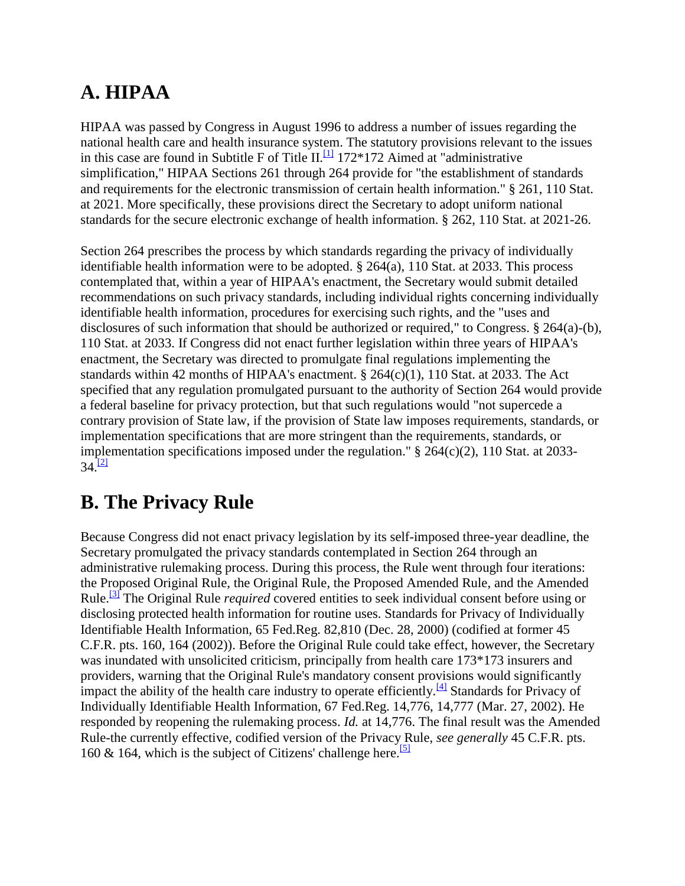# **A. HIPAA**

HIPAA was passed by Congress in August 1996 to address a number of issues regarding the national health care and health insurance system. The statutory provisions relevant to the issues in this case are found in Subtitle F of Title II.<sup>[\[1\]](http://scholar.google.co.in/scholar_case?q=citizens+for+health+v.+leavitt&hl=en&as_sdt=2,5&case=9374757466978555083&scilh=0#[3])</sup> 172\*172 Aimed at "administrative simplification," HIPAA Sections 261 through 264 provide for "the establishment of standards and requirements for the electronic transmission of certain health information." § 261, 110 Stat. at 2021. More specifically, these provisions direct the Secretary to adopt uniform national standards for the secure electronic exchange of health information. § 262, 110 Stat. at 2021-26.

Section 264 prescribes the process by which standards regarding the privacy of individually identifiable health information were to be adopted. § 264(a), 110 Stat. at 2033. This process contemplated that, within a year of HIPAA's enactment, the Secretary would submit detailed recommendations on such privacy standards, including individual rights concerning individually identifiable health information, procedures for exercising such rights, and the "uses and disclosures of such information that should be authorized or required," to Congress. § 264(a)-(b), 110 Stat. at 2033. If Congress did not enact further legislation within three years of HIPAA's enactment, the Secretary was directed to promulgate final regulations implementing the standards within 42 months of HIPAA's enactment. § 264(c)(1), 110 Stat. at 2033. The Act specified that any regulation promulgated pursuant to the authority of Section 264 would provide a federal baseline for privacy protection, but that such regulations would "not supercede a contrary provision of State law, if the provision of State law imposes requirements, standards, or implementation specifications that are more stringent than the requirements, standards, or implementation specifications imposed under the regulation." § 264(c)(2), 110 Stat. at 2033-  $34^{21}$ 

## **B. The Privacy Rule**

Because Congress did not enact privacy legislation by its self-imposed three-year deadline, the Secretary promulgated the privacy standards contemplated in Section 264 through an administrative rulemaking process. During this process, the Rule went through four iterations: the Proposed Original Rule, the Original Rule, the Proposed Amended Rule, and the Amended Rule.[\[3\]](http://scholar.google.co.in/scholar_case?q=citizens+for+health+v.+leavitt&hl=en&as_sdt=2,5&case=9374757466978555083&scilh=0#[5]) The Original Rule *required* covered entities to seek individual consent before using or disclosing protected health information for routine uses. Standards for Privacy of Individually Identifiable Health Information, 65 Fed.Reg. 82,810 (Dec. 28, 2000) (codified at former 45 C.F.R. pts. 160, 164 (2002)). Before the Original Rule could take effect, however, the Secretary was inundated with unsolicited criticism, principally from health care 173\*173 insurers and providers, warning that the Original Rule's mandatory consent provisions would significantly impact the ability of the health care industry to operate efficiently.<sup>[\[4\]](http://scholar.google.co.in/scholar_case?q=citizens+for+health+v.+leavitt&hl=en&as_sdt=2,5&case=9374757466978555083&scilh=0#[6])</sup> Standards for Privacy of Individually Identifiable Health Information, 67 Fed.Reg. 14,776, 14,777 (Mar. 27, 2002). He responded by reopening the rulemaking process. *Id.* at 14,776. The final result was the Amended Rule-the currently effective, codified version of the Privacy Rule, *see generally* 45 C.F.R. pts. 160 & 164, which is the subject of Citizens' challenge here.<sup>[\[5\]](http://scholar.google.co.in/scholar_case?q=citizens+for+health+v.+leavitt&hl=en&as_sdt=2,5&case=9374757466978555083&scilh=0#[7])</sup>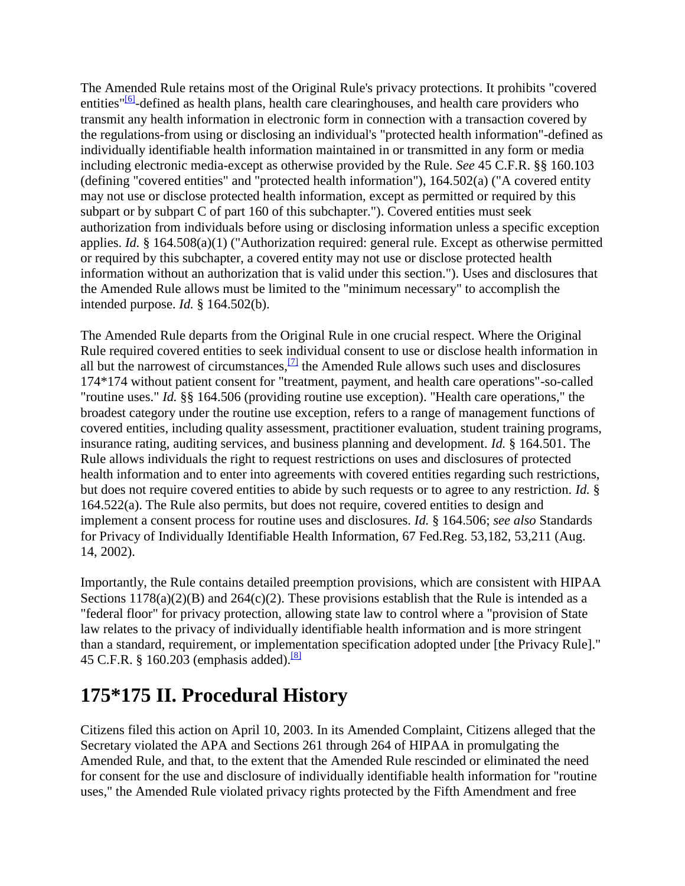The Amended Rule retains most of the Original Rule's privacy protections. It prohibits "covered entities"<sup>[\[6\]](http://scholar.google.co.in/scholar_case?q=citizens+for+health+v.+leavitt&hl=en&as_sdt=2,5&case=9374757466978555083&scilh=0#[8])</sup>-defined as health plans, health care clearinghouses, and health care providers who transmit any health information in electronic form in connection with a transaction covered by the regulations-from using or disclosing an individual's "protected health information"-defined as individually identifiable health information maintained in or transmitted in any form or media including electronic media-except as otherwise provided by the Rule. *See* 45 C.F.R. §§ 160.103 (defining "covered entities" and "protected health information"), 164.502(a) ("A covered entity may not use or disclose protected health information, except as permitted or required by this subpart or by subpart C of part 160 of this subchapter."). Covered entities must seek authorization from individuals before using or disclosing information unless a specific exception applies. *Id.* § 164.508(a)(1) ("Authorization required: general rule. Except as otherwise permitted or required by this subchapter, a covered entity may not use or disclose protected health information without an authorization that is valid under this section."). Uses and disclosures that the Amended Rule allows must be limited to the "minimum necessary" to accomplish the intended purpose. *Id.* § 164.502(b).

The Amended Rule departs from the Original Rule in one crucial respect. Where the Original Rule required covered entities to seek individual consent to use or disclose health information in all but the narrowest of circumstances, $\frac{7}{1}$  the Amended Rule allows such uses and disclosures 174\*174 without patient consent for "treatment, payment, and health care operations"-so-called "routine uses." *Id.* §§ 164.506 (providing routine use exception). "Health care operations," the broadest category under the routine use exception, refers to a range of management functions of covered entities, including quality assessment, practitioner evaluation, student training programs, insurance rating, auditing services, and business planning and development. *Id.* § 164.501. The Rule allows individuals the right to request restrictions on uses and disclosures of protected health information and to enter into agreements with covered entities regarding such restrictions, but does not require covered entities to abide by such requests or to agree to any restriction. *Id.* § 164.522(a). The Rule also permits, but does not require, covered entities to design and implement a consent process for routine uses and disclosures. *Id.* § 164.506; *see also* Standards for Privacy of Individually Identifiable Health Information, 67 Fed.Reg. 53,182, 53,211 (Aug. 14, 2002).

Importantly, the Rule contains detailed preemption provisions, which are consistent with HIPAA Sections  $1178(a)(2)(B)$  and  $264(c)(2)$ . These provisions establish that the Rule is intended as a "federal floor" for privacy protection, allowing state law to control where a "provision of State law relates to the privacy of individually identifiable health information and is more stringent than a standard, requirement, or implementation specification adopted under [the Privacy Rule]." 45 C.F.R. § 160.203 (emphasis added).[\[8\]](http://scholar.google.co.in/scholar_case?q=citizens+for+health+v.+leavitt&hl=en&as_sdt=2,5&case=9374757466978555083&scilh=0#[10])

## **175\*175 II. Procedural History**

Citizens filed this action on April 10, 2003. In its Amended Complaint, Citizens alleged that the Secretary violated the APA and Sections 261 through 264 of HIPAA in promulgating the Amended Rule, and that, to the extent that the Amended Rule rescinded or eliminated the need for consent for the use and disclosure of individually identifiable health information for "routine uses," the Amended Rule violated privacy rights protected by the Fifth Amendment and free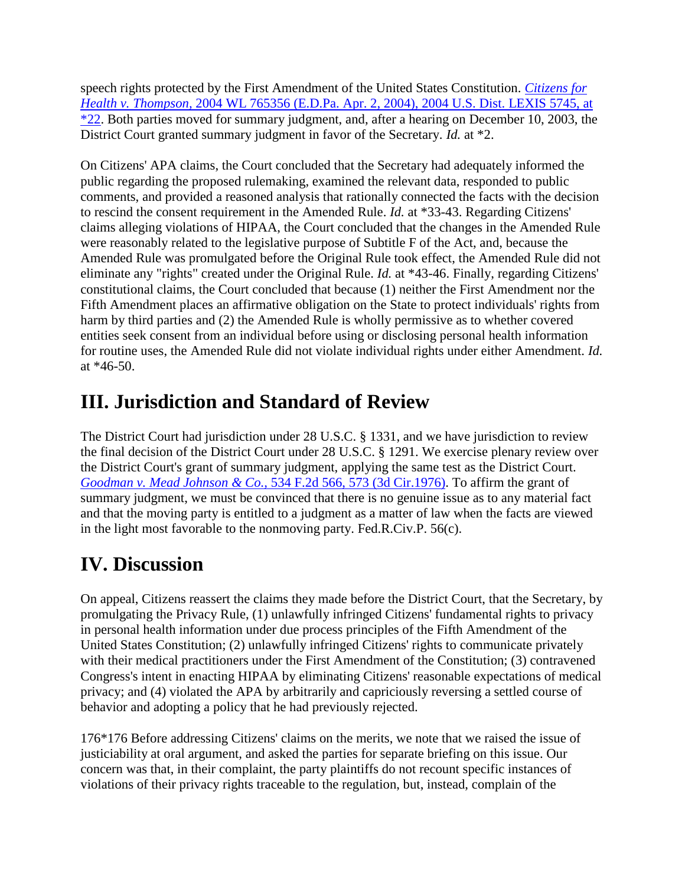speech rights protected by the First Amendment of the United States Constitution. *[Citizens for](http://scholar.google.co.in/scholar_case?about=5344599008571893984&q=citizens+for+health+v.+leavitt&hl=en&as_sdt=2,5&scilh=0)  Health v. Thompson,* [2004 WL 765356 \(E.D.Pa. Apr. 2, 2004\), 2004 U.S. Dist. LEXIS 5745, at](http://scholar.google.co.in/scholar_case?about=5344599008571893984&q=citizens+for+health+v.+leavitt&hl=en&as_sdt=2,5&scilh=0)   $*22$ . Both parties moved for summary judgment, and, after a hearing on December 10, 2003, the District Court granted summary judgment in favor of the Secretary. *Id.* at \*2.

On Citizens' APA claims, the Court concluded that the Secretary had adequately informed the public regarding the proposed rulemaking, examined the relevant data, responded to public comments, and provided a reasoned analysis that rationally connected the facts with the decision to rescind the consent requirement in the Amended Rule. *Id.* at \*33-43. Regarding Citizens' claims alleging violations of HIPAA, the Court concluded that the changes in the Amended Rule were reasonably related to the legislative purpose of Subtitle F of the Act, and, because the Amended Rule was promulgated before the Original Rule took effect, the Amended Rule did not eliminate any "rights" created under the Original Rule. *Id.* at \*43-46. Finally, regarding Citizens' constitutional claims, the Court concluded that because (1) neither the First Amendment nor the Fifth Amendment places an affirmative obligation on the State to protect individuals' rights from harm by third parties and (2) the Amended Rule is wholly permissive as to whether covered entities seek consent from an individual before using or disclosing personal health information for routine uses, the Amended Rule did not violate individual rights under either Amendment. *Id.* at \*46-50.

## **III. Jurisdiction and Standard of Review**

The District Court had jurisdiction under 28 U.S.C. § 1331, and we have jurisdiction to review the final decision of the District Court under 28 U.S.C. § 1291. We exercise plenary review over the District Court's grant of summary judgment, applying the same test as the District Court. *[Goodman v. Mead Johnson & Co.,](http://scholar.google.co.in/scholar_case?case=10824937400858923767&q=citizens+for+health+v.+leavitt&hl=en&as_sdt=2,5&scilh=0)* 534 F.2d 566, 573 (3d Cir.1976). To affirm the grant of summary judgment, we must be convinced that there is no genuine issue as to any material fact and that the moving party is entitled to a judgment as a matter of law when the facts are viewed in the light most favorable to the nonmoving party. Fed.R.Civ.P. 56(c).

## **IV. Discussion**

On appeal, Citizens reassert the claims they made before the District Court, that the Secretary, by promulgating the Privacy Rule, (1) unlawfully infringed Citizens' fundamental rights to privacy in personal health information under due process principles of the Fifth Amendment of the United States Constitution; (2) unlawfully infringed Citizens' rights to communicate privately with their medical practitioners under the First Amendment of the Constitution; (3) contravened Congress's intent in enacting HIPAA by eliminating Citizens' reasonable expectations of medical privacy; and (4) violated the APA by arbitrarily and capriciously reversing a settled course of behavior and adopting a policy that he had previously rejected.

176\*176 Before addressing Citizens' claims on the merits, we note that we raised the issue of justiciability at oral argument, and asked the parties for separate briefing on this issue. Our concern was that, in their complaint, the party plaintiffs do not recount specific instances of violations of their privacy rights traceable to the regulation, but, instead, complain of the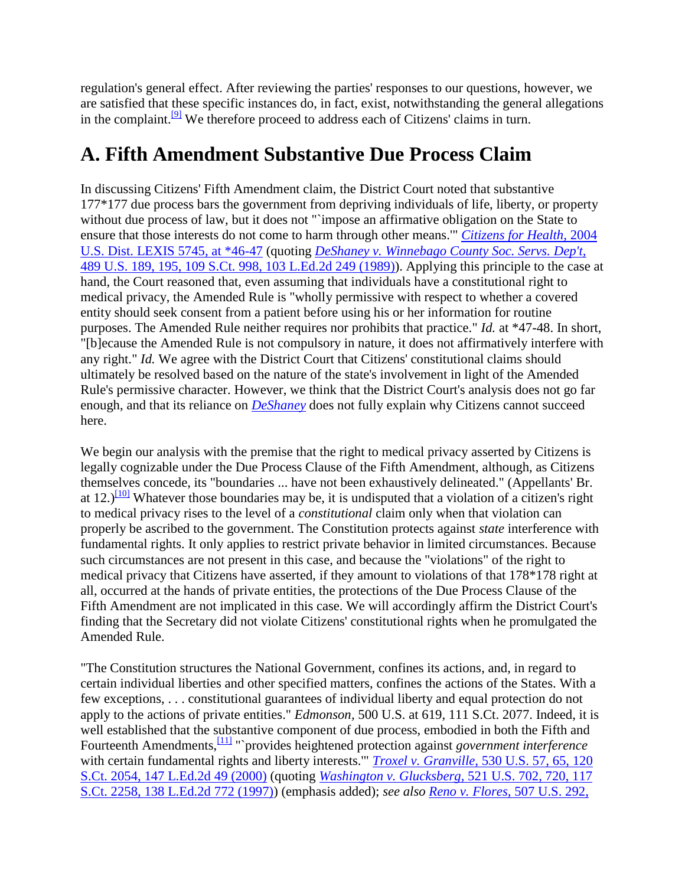regulation's general effect. After reviewing the parties' responses to our questions, however, we are satisfied that these specific instances do, in fact, exist, notwithstanding the general allegations in the complaint.<sup>[\[9\]](http://scholar.google.co.in/scholar_case?q=citizens+for+health+v.+leavitt&hl=en&as_sdt=2,5&case=9374757466978555083&scilh=0#[11])</sup> We therefore proceed to address each of Citizens' claims in turn.

### **A. Fifth Amendment Substantive Due Process Claim**

In discussing Citizens' Fifth Amendment claim, the District Court noted that substantive 177\*177 due process bars the government from depriving individuals of life, liberty, or property without due process of law, but it does not "`impose an affirmative obligation on the State to ensure that those interests do not come to harm through other means.'" *[Citizens for Health,](http://scholar.google.co.in/scholar_case?about=5344599008571893984&q=citizens+for+health+v.+leavitt&hl=en&as_sdt=2,5&scilh=0)* 2004 [U.S. Dist. LEXIS 5745, at \\*46-47](http://scholar.google.co.in/scholar_case?about=5344599008571893984&q=citizens+for+health+v.+leavitt&hl=en&as_sdt=2,5&scilh=0) (quoting *[DeShaney v. Winnebago County Soc. Servs. Dep't,](http://scholar.google.co.in/scholar_case?case=5543768239799414902&q=citizens+for+health+v.+leavitt&hl=en&as_sdt=2,5&scilh=0)* [489 U.S. 189, 195, 109 S.Ct. 998, 103 L.Ed.2d 249 \(1989\)\)](http://scholar.google.co.in/scholar_case?case=5543768239799414902&q=citizens+for+health+v.+leavitt&hl=en&as_sdt=2,5&scilh=0). Applying this principle to the case at hand, the Court reasoned that, even assuming that individuals have a constitutional right to medical privacy, the Amended Rule is "wholly permissive with respect to whether a covered entity should seek consent from a patient before using his or her information for routine purposes. The Amended Rule neither requires nor prohibits that practice." *Id.* at \*47-48. In short, "[b]ecause the Amended Rule is not compulsory in nature, it does not affirmatively interfere with any right." *Id.* We agree with the District Court that Citizens' constitutional claims should ultimately be resolved based on the nature of the state's involvement in light of the Amended Rule's permissive character. However, we think that the District Court's analysis does not go far enough, and that its reliance on *[DeShaney](http://scholar.google.co.in/scholar_case?case=5543768239799414902&q=citizens+for+health+v.+leavitt&hl=en&as_sdt=2,5&scilh=0)* does not fully explain why Citizens cannot succeed here.

We begin our analysis with the premise that the right to medical privacy asserted by Citizens is legally cognizable under the Due Process Clause of the Fifth Amendment, although, as Citizens themselves concede, its "boundaries ... have not been exhaustively delineated." (Appellants' Br. at 12.)<sup>[\[10\]](http://scholar.google.co.in/scholar_case?q=citizens+for+health+v.+leavitt&hl=en&as_sdt=2,5&case=9374757466978555083&scilh=0#[12])</sup> Whatever those boundaries may be, it is undisputed that a violation of a citizen's right to medical privacy rises to the level of a *constitutional* claim only when that violation can properly be ascribed to the government. The Constitution protects against *state* interference with fundamental rights. It only applies to restrict private behavior in limited circumstances. Because such circumstances are not present in this case, and because the "violations" of the right to medical privacy that Citizens have asserted, if they amount to violations of that 178\*178 right at all, occurred at the hands of private entities, the protections of the Due Process Clause of the Fifth Amendment are not implicated in this case. We will accordingly affirm the District Court's finding that the Secretary did not violate Citizens' constitutional rights when he promulgated the Amended Rule.

"The Constitution structures the National Government, confines its actions, and, in regard to certain individual liberties and other specified matters, confines the actions of the States. With a few exceptions, . . . constitutional guarantees of individual liberty and equal protection do not apply to the actions of private entities." *Edmonson,* 500 U.S. at 619, 111 S.Ct. 2077. Indeed, it is well established that the substantive component of due process, embodied in both the Fifth and Fourteenth Amendments,[\[11\]](http://scholar.google.co.in/scholar_case?q=citizens+for+health+v.+leavitt&hl=en&as_sdt=2,5&case=9374757466978555083&scilh=0#[13]) "`provides heightened protection against *government interference* with certain fundamental rights and liberty interests.'" *Troxel v. Granville,* [530 U.S. 57, 65, 120](http://scholar.google.co.in/scholar_case?case=10935528927815644277&q=citizens+for+health+v.+leavitt&hl=en&as_sdt=2,5&scilh=0)  [S.Ct. 2054, 147 L.Ed.2d 49 \(2000\)](http://scholar.google.co.in/scholar_case?case=10935528927815644277&q=citizens+for+health+v.+leavitt&hl=en&as_sdt=2,5&scilh=0) (quoting *[Washington v. Glucksberg,](http://scholar.google.co.in/scholar_case?case=17920279791882194984&q=citizens+for+health+v.+leavitt&hl=en&as_sdt=2,5&scilh=0)* 521 U.S. 702, 720, 117 [S.Ct. 2258, 138 L.Ed.2d 772 \(1997\)\)](http://scholar.google.co.in/scholar_case?case=17920279791882194984&q=citizens+for+health+v.+leavitt&hl=en&as_sdt=2,5&scilh=0) (emphasis added); *see also [Reno v. Flores,](http://scholar.google.co.in/scholar_case?case=1741861529469321635&q=citizens+for+health+v.+leavitt&hl=en&as_sdt=2,5&scilh=0)* 507 U.S. 292,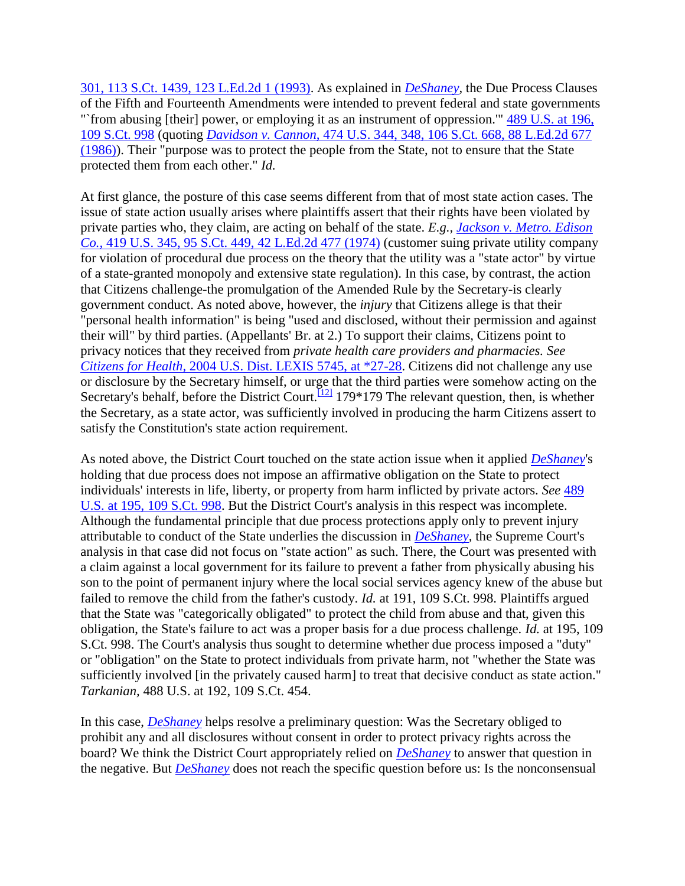301, 113 S.Ct. 1439, 123 L.Ed.2d 1 (1993). As explained in *[DeShaney,](http://scholar.google.co.in/scholar_case?case=5543768239799414902&q=citizens+for+health+v.+leavitt&hl=en&as_sdt=2,5&scilh=0)* the Due Process Clauses of the Fifth and Fourteenth Amendments were intended to prevent federal and state governments "`from abusing [their] power, or employing it as an instrument of oppression."' 489 U.S. at 196, [109 S.Ct. 998](http://scholar.google.co.in/scholar_case?case=5543768239799414902&q=citizens+for+health+v.+leavitt&hl=en&as_sdt=2,5&scilh=0) (quoting *Davidson v. Cannon,* [474 U.S. 344, 348, 106 S.Ct. 668, 88 L.Ed.2d 677](http://scholar.google.co.in/scholar_case?case=8748312511077695791&q=citizens+for+health+v.+leavitt&hl=en&as_sdt=2,5&scilh=0)  [\(1986\)\)](http://scholar.google.co.in/scholar_case?case=8748312511077695791&q=citizens+for+health+v.+leavitt&hl=en&as_sdt=2,5&scilh=0). Their "purpose was to protect the people from the State, not to ensure that the State protected them from each other." *Id.*

At first glance, the posture of this case seems different from that of most state action cases. The issue of state action usually arises where plaintiffs assert that their rights have been violated by private parties who, they claim, are acting on behalf of the state. *E.g., [Jackson v. Metro. Edison](http://scholar.google.co.in/scholar_case?case=17665151143207312572&q=citizens+for+health+v.+leavitt&hl=en&as_sdt=2,5&scilh=0)  Co.,* [419 U.S. 345, 95 S.Ct. 449, 42 L.Ed.2d 477 \(1974\)](http://scholar.google.co.in/scholar_case?case=17665151143207312572&q=citizens+for+health+v.+leavitt&hl=en&as_sdt=2,5&scilh=0) (customer suing private utility company for violation of procedural due process on the theory that the utility was a "state actor" by virtue of a state-granted monopoly and extensive state regulation). In this case, by contrast, the action that Citizens challenge-the promulgation of the Amended Rule by the Secretary-is clearly government conduct. As noted above, however, the *injury* that Citizens allege is that their "personal health information" is being "used and disclosed, without their permission and against their will" by third parties. (Appellants' Br. at 2.) To support their claims, Citizens point to privacy notices that they received from *private health care providers and pharmacies. See Citizens for Health,* [2004 U.S. Dist. LEXIS 5745, at \\*27-28.](http://scholar.google.co.in/scholar_case?about=5344599008571893984&q=citizens+for+health+v.+leavitt&hl=en&as_sdt=2,5&scilh=0) Citizens did not challenge any use or disclosure by the Secretary himself, or urge that the third parties were somehow acting on the Secretary's behalf, before the District Court.<sup>[\[12\]](http://scholar.google.co.in/scholar_case?q=citizens+for+health+v.+leavitt&hl=en&as_sdt=2,5&case=9374757466978555083&scilh=0#[14])</sup> 179\*179 The relevant question, then, is whether the Secretary, as a state actor, was sufficiently involved in producing the harm Citizens assert to satisfy the Constitution's state action requirement.

As noted above, the District Court touched on the state action issue when it applied *[DeShaney](http://scholar.google.co.in/scholar_case?case=5543768239799414902&q=citizens+for+health+v.+leavitt&hl=en&as_sdt=2,5&scilh=0)*'s holding that due process does not impose an affirmative obligation on the State to protect individuals' interests in life, liberty, or property from harm inflicted by private actors. *See* [489](http://scholar.google.co.in/scholar_case?case=5543768239799414902&q=citizens+for+health+v.+leavitt&hl=en&as_sdt=2,5&scilh=0)  [U.S. at 195, 109 S.Ct. 998.](http://scholar.google.co.in/scholar_case?case=5543768239799414902&q=citizens+for+health+v.+leavitt&hl=en&as_sdt=2,5&scilh=0) But the District Court's analysis in this respect was incomplete. Although the fundamental principle that due process protections apply only to prevent injury attributable to conduct of the State underlies the discussion in *[DeShaney,](http://scholar.google.co.in/scholar_case?case=5543768239799414902&q=citizens+for+health+v.+leavitt&hl=en&as_sdt=2,5&scilh=0)* the Supreme Court's analysis in that case did not focus on "state action" as such. There, the Court was presented with a claim against a local government for its failure to prevent a father from physically abusing his son to the point of permanent injury where the local social services agency knew of the abuse but failed to remove the child from the father's custody. *Id.* at 191, 109 S.Ct. 998. Plaintiffs argued that the State was "categorically obligated" to protect the child from abuse and that, given this obligation, the State's failure to act was a proper basis for a due process challenge. *Id.* at 195, 109 S.Ct. 998. The Court's analysis thus sought to determine whether due process imposed a "duty" or "obligation" on the State to protect individuals from private harm, not "whether the State was sufficiently involved [in the privately caused harm] to treat that decisive conduct as state action." *Tarkanian,* 488 U.S. at 192, 109 S.Ct. 454.

In this case, *[DeShaney](http://scholar.google.co.in/scholar_case?case=5543768239799414902&q=citizens+for+health+v.+leavitt&hl=en&as_sdt=2,5&scilh=0)* helps resolve a preliminary question: Was the Secretary obliged to prohibit any and all disclosures without consent in order to protect privacy rights across the board? We think the District Court appropriately relied on *[DeShaney](http://scholar.google.co.in/scholar_case?case=5543768239799414902&q=citizens+for+health+v.+leavitt&hl=en&as_sdt=2,5&scilh=0)* to answer that question in the negative. But *[DeShaney](http://scholar.google.co.in/scholar_case?case=5543768239799414902&q=citizens+for+health+v.+leavitt&hl=en&as_sdt=2,5&scilh=0)* does not reach the specific question before us: Is the nonconsensual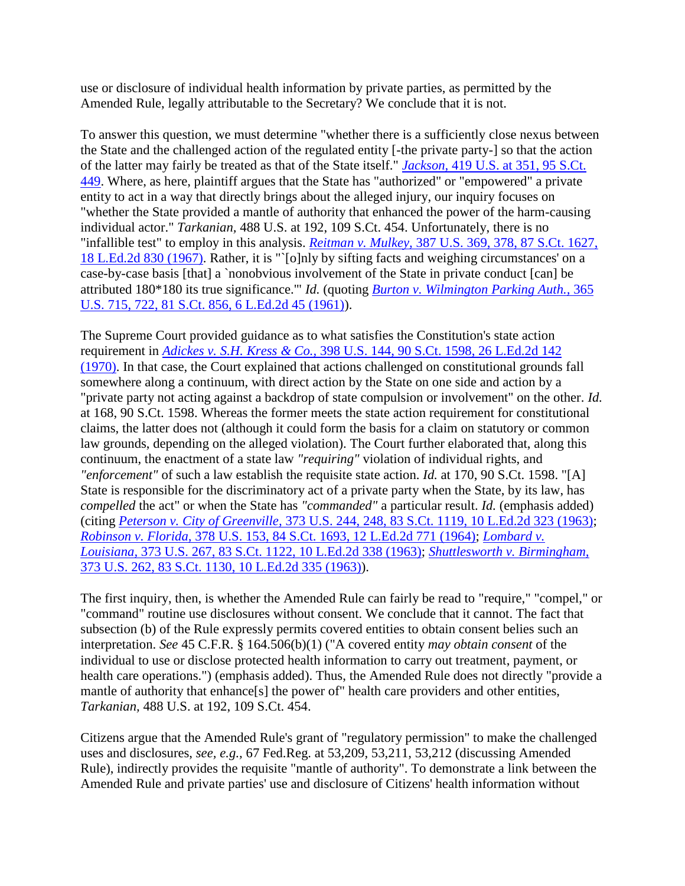use or disclosure of individual health information by private parties, as permitted by the Amended Rule, legally attributable to the Secretary? We conclude that it is not.

To answer this question, we must determine "whether there is a sufficiently close nexus between the State and the challenged action of the regulated entity [-the private party-] so that the action of the latter may fairly be treated as that of the State itself." *Jackson,* [419 U.S. at 351, 95 S.Ct.](http://scholar.google.co.in/scholar_case?case=17665151143207312572&q=citizens+for+health+v.+leavitt&hl=en&as_sdt=2,5&scilh=0)  [449.](http://scholar.google.co.in/scholar_case?case=17665151143207312572&q=citizens+for+health+v.+leavitt&hl=en&as_sdt=2,5&scilh=0) Where, as here, plaintiff argues that the State has "authorized" or "empowered" a private entity to act in a way that directly brings about the alleged injury, our inquiry focuses on "whether the State provided a mantle of authority that enhanced the power of the harm-causing individual actor." *Tarkanian,* 488 U.S. at 192, 109 S.Ct. 454. Unfortunately, there is no "infallible test" to employ in this analysis. *Reitman v. Mulkey,* [387 U.S. 369, 378, 87 S.Ct. 1627,](http://scholar.google.co.in/scholar_case?case=7169934994276104817&q=citizens+for+health+v.+leavitt&hl=en&as_sdt=2,5&scilh=0)  [18 L.Ed.2d 830 \(1967\).](http://scholar.google.co.in/scholar_case?case=7169934994276104817&q=citizens+for+health+v.+leavitt&hl=en&as_sdt=2,5&scilh=0) Rather, it is "`[o]nly by sifting facts and weighing circumstances' on a case-by-case basis [that] a `nonobvious involvement of the State in private conduct [can] be attributed 180\*180 its true significance.'" *Id.* (quoting *[Burton v. Wilmington Parking Auth.,](http://scholar.google.co.in/scholar_case?case=4478686624663257855&q=citizens+for+health+v.+leavitt&hl=en&as_sdt=2,5&scilh=0)* 365 [U.S. 715, 722, 81 S.Ct. 856, 6 L.Ed.2d 45 \(1961\)\)](http://scholar.google.co.in/scholar_case?case=4478686624663257855&q=citizens+for+health+v.+leavitt&hl=en&as_sdt=2,5&scilh=0).

The Supreme Court provided guidance as to what satisfies the Constitution's state action requirement in *Adickes v. S.H. Kress & Co.,* [398 U.S. 144, 90 S.Ct. 1598, 26 L.Ed.2d 142](http://scholar.google.co.in/scholar_case?case=133216297451375798&q=citizens+for+health+v.+leavitt&hl=en&as_sdt=2,5&scilh=0)  [\(1970\).](http://scholar.google.co.in/scholar_case?case=133216297451375798&q=citizens+for+health+v.+leavitt&hl=en&as_sdt=2,5&scilh=0) In that case, the Court explained that actions challenged on constitutional grounds fall somewhere along a continuum, with direct action by the State on one side and action by a "private party not acting against a backdrop of state compulsion or involvement" on the other. *Id.* at 168, 90 S.Ct. 1598. Whereas the former meets the state action requirement for constitutional claims, the latter does not (although it could form the basis for a claim on statutory or common law grounds, depending on the alleged violation). The Court further elaborated that, along this continuum, the enactment of a state law *"requiring"* violation of individual rights, and *"enforcement"* of such a law establish the requisite state action. *Id.* at 170, 90 S.Ct. 1598. "[A] State is responsible for the discriminatory act of a private party when the State, by its law, has *compelled* the act" or when the State has *"commanded"* a particular result. *Id.* (emphasis added) (citing *Peterson v. City of Greenville,* [373 U.S. 244, 248, 83 S.Ct. 1119, 10 L.Ed.2d 323 \(1963\);](http://scholar.google.co.in/scholar_case?case=16233723349732389540&q=citizens+for+health+v.+leavitt&hl=en&as_sdt=2,5&scilh=0) *Robinson v. Florida,* [378 U.S. 153, 84 S.Ct. 1693, 12 L.Ed.2d 771 \(1964\);](http://scholar.google.co.in/scholar_case?case=11800098284666427798&q=citizens+for+health+v.+leavitt&hl=en&as_sdt=2,5&scilh=0) *[Lombard v.](http://scholar.google.co.in/scholar_case?case=12380322891935755277&q=citizens+for+health+v.+leavitt&hl=en&as_sdt=2,5&scilh=0)  Louisiana,* [373 U.S. 267, 83 S.Ct. 1122, 10 L.Ed.2d 338 \(1963\);](http://scholar.google.co.in/scholar_case?case=12380322891935755277&q=citizens+for+health+v.+leavitt&hl=en&as_sdt=2,5&scilh=0) *[Shuttlesworth v. Birmingham,](http://scholar.google.co.in/scholar_case?case=9117999928639504550&q=citizens+for+health+v.+leavitt&hl=en&as_sdt=2,5&scilh=0)* [373 U.S. 262, 83 S.Ct. 1130, 10 L.Ed.2d 335 \(1963\)\)](http://scholar.google.co.in/scholar_case?case=9117999928639504550&q=citizens+for+health+v.+leavitt&hl=en&as_sdt=2,5&scilh=0).

The first inquiry, then, is whether the Amended Rule can fairly be read to "require," "compel," or "command" routine use disclosures without consent. We conclude that it cannot. The fact that subsection (b) of the Rule expressly permits covered entities to obtain consent belies such an interpretation. *See* 45 C.F.R. § 164.506(b)(1) ("A covered entity *may obtain consent* of the individual to use or disclose protected health information to carry out treatment, payment, or health care operations.") (emphasis added). Thus, the Amended Rule does not directly "provide a mantle of authority that enhance[s] the power of" health care providers and other entities, *Tarkanian,* 488 U.S. at 192, 109 S.Ct. 454.

Citizens argue that the Amended Rule's grant of "regulatory permission" to make the challenged uses and disclosures, *see, e.g.,* 67 Fed.Reg. at 53,209, 53,211, 53,212 (discussing Amended Rule), indirectly provides the requisite "mantle of authority". To demonstrate a link between the Amended Rule and private parties' use and disclosure of Citizens' health information without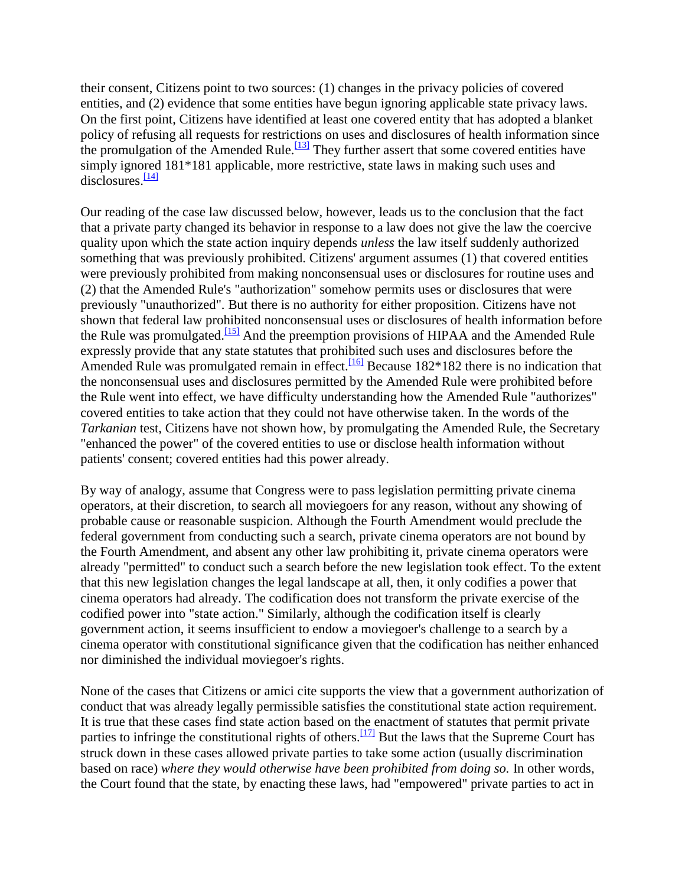their consent, Citizens point to two sources: (1) changes in the privacy policies of covered entities, and (2) evidence that some entities have begun ignoring applicable state privacy laws. On the first point, Citizens have identified at least one covered entity that has adopted a blanket policy of refusing all requests for restrictions on uses and disclosures of health information since the promulgation of the Amended Rule.<sup>[\[13\]](http://scholar.google.co.in/scholar_case?q=citizens+for+health+v.+leavitt&hl=en&as_sdt=2,5&case=9374757466978555083&scilh=0#[15])</sup> They further assert that some covered entities have simply ignored 181\*181 applicable, more restrictive, state laws in making such uses and  $disclosures.$ <sup>[\[14\]](http://scholar.google.co.in/scholar_case?q=citizens+for+health+v.+leavitt&hl=en&as_sdt=2,5&case=9374757466978555083&scilh=0#[16])</sup>

Our reading of the case law discussed below, however, leads us to the conclusion that the fact that a private party changed its behavior in response to a law does not give the law the coercive quality upon which the state action inquiry depends *unless* the law itself suddenly authorized something that was previously prohibited. Citizens' argument assumes (1) that covered entities were previously prohibited from making nonconsensual uses or disclosures for routine uses and (2) that the Amended Rule's "authorization" somehow permits uses or disclosures that were previously "unauthorized". But there is no authority for either proposition. Citizens have not shown that federal law prohibited nonconsensual uses or disclosures of health information before the Rule was promulgated.<sup>[\[15\]](http://scholar.google.co.in/scholar_case?q=citizens+for+health+v.+leavitt&hl=en&as_sdt=2,5&case=9374757466978555083&scilh=0#[17])</sup> And the preemption provisions of HIPAA and the Amended Rule expressly provide that any state statutes that prohibited such uses and disclosures before the Amended Rule was promulgated remain in effect.<sup>[\[16\]](http://scholar.google.co.in/scholar_case?q=citizens+for+health+v.+leavitt&hl=en&as_sdt=2,5&case=9374757466978555083&scilh=0#[18])</sup> Because 182\*182 there is no indication that the nonconsensual uses and disclosures permitted by the Amended Rule were prohibited before the Rule went into effect, we have difficulty understanding how the Amended Rule "authorizes" covered entities to take action that they could not have otherwise taken. In the words of the *Tarkanian* test, Citizens have not shown how, by promulgating the Amended Rule, the Secretary "enhanced the power" of the covered entities to use or disclose health information without patients' consent; covered entities had this power already.

By way of analogy, assume that Congress were to pass legislation permitting private cinema operators, at their discretion, to search all moviegoers for any reason, without any showing of probable cause or reasonable suspicion. Although the Fourth Amendment would preclude the federal government from conducting such a search, private cinema operators are not bound by the Fourth Amendment, and absent any other law prohibiting it, private cinema operators were already "permitted" to conduct such a search before the new legislation took effect. To the extent that this new legislation changes the legal landscape at all, then, it only codifies a power that cinema operators had already. The codification does not transform the private exercise of the codified power into "state action." Similarly, although the codification itself is clearly government action, it seems insufficient to endow a moviegoer's challenge to a search by a cinema operator with constitutional significance given that the codification has neither enhanced nor diminished the individual moviegoer's rights.

None of the cases that Citizens or amici cite supports the view that a government authorization of conduct that was already legally permissible satisfies the constitutional state action requirement. It is true that these cases find state action based on the enactment of statutes that permit private parties to infringe the constitutional rights of others.<sup>[\[17\]](http://scholar.google.co.in/scholar_case?q=citizens+for+health+v.+leavitt&hl=en&as_sdt=2,5&case=9374757466978555083&scilh=0#[19])</sup> But the laws that the Supreme Court has struck down in these cases allowed private parties to take some action (usually discrimination based on race) *where they would otherwise have been prohibited from doing so.* In other words, the Court found that the state, by enacting these laws, had "empowered" private parties to act in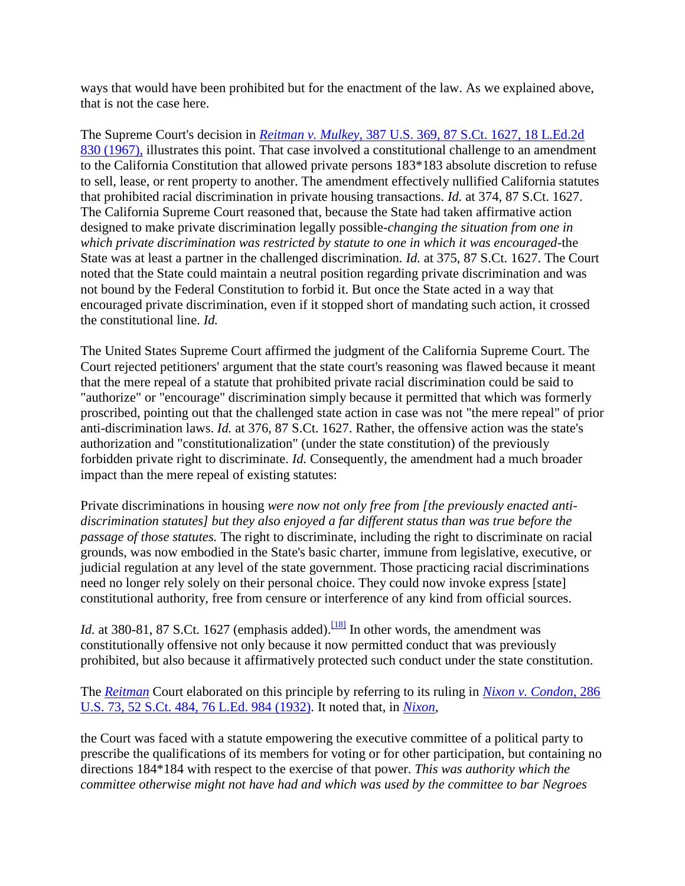ways that would have been prohibited but for the enactment of the law. As we explained above, that is not the case here.

The Supreme Court's decision in *Reitman v. Mulkey,* [387 U.S. 369, 87 S.Ct. 1627, 18 L.Ed.2d](http://scholar.google.co.in/scholar_case?case=7169934994276104817&q=citizens+for+health+v.+leavitt&hl=en&as_sdt=2,5&scilh=0)  [830 \(1967\),](http://scholar.google.co.in/scholar_case?case=7169934994276104817&q=citizens+for+health+v.+leavitt&hl=en&as_sdt=2,5&scilh=0) illustrates this point. That case involved a constitutional challenge to an amendment to the California Constitution that allowed private persons 183\*183 absolute discretion to refuse to sell, lease, or rent property to another. The amendment effectively nullified California statutes that prohibited racial discrimination in private housing transactions. *Id.* at 374, 87 S.Ct. 1627. The California Supreme Court reasoned that, because the State had taken affirmative action designed to make private discrimination legally possible-*changing the situation from one in which private discrimination was restricted by statute to one in which it was encouraged*-the State was at least a partner in the challenged discrimination. *Id.* at 375, 87 S.Ct. 1627. The Court noted that the State could maintain a neutral position regarding private discrimination and was not bound by the Federal Constitution to forbid it. But once the State acted in a way that encouraged private discrimination, even if it stopped short of mandating such action, it crossed the constitutional line. *Id.*

The United States Supreme Court affirmed the judgment of the California Supreme Court. The Court rejected petitioners' argument that the state court's reasoning was flawed because it meant that the mere repeal of a statute that prohibited private racial discrimination could be said to "authorize" or "encourage" discrimination simply because it permitted that which was formerly proscribed, pointing out that the challenged state action in case was not "the mere repeal" of prior anti-discrimination laws. *Id.* at 376, 87 S.Ct. 1627. Rather, the offensive action was the state's authorization and "constitutionalization" (under the state constitution) of the previously forbidden private right to discriminate. *Id.* Consequently, the amendment had a much broader impact than the mere repeal of existing statutes:

Private discriminations in housing *were now not only free from [the previously enacted antidiscrimination statutes] but they also enjoyed a far different status than was true before the passage of those statutes.* The right to discriminate, including the right to discriminate on racial grounds, was now embodied in the State's basic charter, immune from legislative, executive, or judicial regulation at any level of the state government. Those practicing racial discriminations need no longer rely solely on their personal choice. They could now invoke express [state] constitutional authority, free from censure or interference of any kind from official sources.

*Id.* at 380-81, 87 S.Ct. 1627 (emphasis added).<sup>[\[18\]](http://scholar.google.co.in/scholar_case?q=citizens+for+health+v.+leavitt&hl=en&as_sdt=2,5&case=9374757466978555083&scilh=0#[20])</sup> In other words, the amendment was constitutionally offensive not only because it now permitted conduct that was previously prohibited, but also because it affirmatively protected such conduct under the state constitution.

The *[Reitman](http://scholar.google.co.in/scholar_case?case=7169934994276104817&q=citizens+for+health+v.+leavitt&hl=en&as_sdt=2,5&scilh=0)* Court elaborated on this principle by referring to its ruling in *[Nixon v. Condon,](http://scholar.google.co.in/scholar_case?case=2925340888699183989&q=citizens+for+health+v.+leavitt&hl=en&as_sdt=2,5&scilh=0)* 286 [U.S. 73, 52 S.Ct. 484, 76 L.Ed. 984 \(1932\).](http://scholar.google.co.in/scholar_case?case=2925340888699183989&q=citizens+for+health+v.+leavitt&hl=en&as_sdt=2,5&scilh=0) It noted that, in *[Nixon,](http://scholar.google.co.in/scholar_case?case=2925340888699183989&q=citizens+for+health+v.+leavitt&hl=en&as_sdt=2,5&scilh=0)*

the Court was faced with a statute empowering the executive committee of a political party to prescribe the qualifications of its members for voting or for other participation, but containing no directions 184\*184 with respect to the exercise of that power. *This was authority which the committee otherwise might not have had and which was used by the committee to bar Negroes*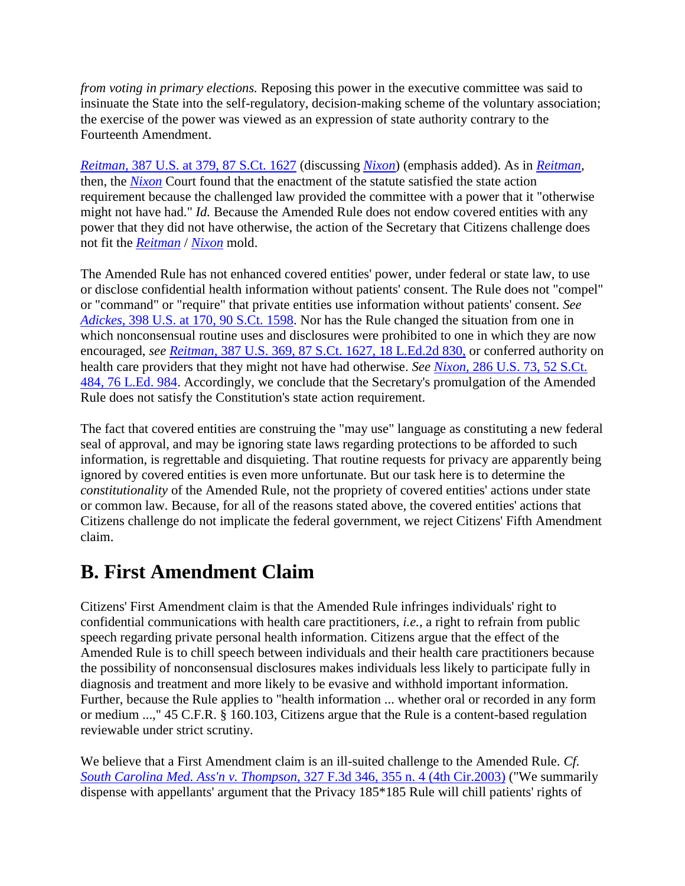*from voting in primary elections.* Reposing this power in the executive committee was said to insinuate the State into the self-regulatory, decision-making scheme of the voluntary association; the exercise of the power was viewed as an expression of state authority contrary to the Fourteenth Amendment.

*Reitman,* [387 U.S. at 379, 87 S.Ct. 1627](http://scholar.google.co.in/scholar_case?case=7169934994276104817&q=citizens+for+health+v.+leavitt&hl=en&as_sdt=2,5&scilh=0) (discussing *[Nixon](http://scholar.google.co.in/scholar_case?case=2925340888699183989&q=citizens+for+health+v.+leavitt&hl=en&as_sdt=2,5&scilh=0)*) (emphasis added). As in *[Reitman,](http://scholar.google.co.in/scholar_case?case=7169934994276104817&q=citizens+for+health+v.+leavitt&hl=en&as_sdt=2,5&scilh=0)* then, the *[Nixon](http://scholar.google.co.in/scholar_case?case=2925340888699183989&q=citizens+for+health+v.+leavitt&hl=en&as_sdt=2,5&scilh=0)* Court found that the enactment of the statute satisfied the state action requirement because the challenged law provided the committee with a power that it "otherwise might not have had." *Id.* Because the Amended Rule does not endow covered entities with any power that they did not have otherwise, the action of the Secretary that Citizens challenge does not fit the *[Reitman](http://scholar.google.co.in/scholar_case?case=7169934994276104817&q=citizens+for+health+v.+leavitt&hl=en&as_sdt=2,5&scilh=0)* / *[Nixon](http://scholar.google.co.in/scholar_case?case=2925340888699183989&q=citizens+for+health+v.+leavitt&hl=en&as_sdt=2,5&scilh=0)* mold.

The Amended Rule has not enhanced covered entities' power, under federal or state law, to use or disclose confidential health information without patients' consent. The Rule does not "compel" or "command" or "require" that private entities use information without patients' consent. *See Adickes,* [398 U.S. at 170, 90 S.Ct. 1598.](http://scholar.google.co.in/scholar_case?case=133216297451375798&q=citizens+for+health+v.+leavitt&hl=en&as_sdt=2,5&scilh=0) Nor has the Rule changed the situation from one in which nonconsensual routine uses and disclosures were prohibited to one in which they are now encouraged, *see Reitman,* [387 U.S. 369, 87 S.Ct. 1627, 18 L.Ed.2d 830,](http://scholar.google.co.in/scholar_case?case=7169934994276104817&q=citizens+for+health+v.+leavitt&hl=en&as_sdt=2,5&scilh=0) or conferred authority on health care providers that they might not have had otherwise. *See Nixon,* [286 U.S. 73, 52 S.Ct.](http://scholar.google.co.in/scholar_case?case=2925340888699183989&q=citizens+for+health+v.+leavitt&hl=en&as_sdt=2,5&scilh=0)  [484, 76 L.Ed. 984.](http://scholar.google.co.in/scholar_case?case=2925340888699183989&q=citizens+for+health+v.+leavitt&hl=en&as_sdt=2,5&scilh=0) Accordingly, we conclude that the Secretary's promulgation of the Amended Rule does not satisfy the Constitution's state action requirement.

The fact that covered entities are construing the "may use" language as constituting a new federal seal of approval, and may be ignoring state laws regarding protections to be afforded to such information, is regrettable and disquieting. That routine requests for privacy are apparently being ignored by covered entities is even more unfortunate. But our task here is to determine the *constitutionality* of the Amended Rule, not the propriety of covered entities' actions under state or common law. Because, for all of the reasons stated above, the covered entities' actions that Citizens challenge do not implicate the federal government, we reject Citizens' Fifth Amendment claim.

## **B. First Amendment Claim**

Citizens' First Amendment claim is that the Amended Rule infringes individuals' right to confidential communications with health care practitioners, *i.e.,* a right to refrain from public speech regarding private personal health information. Citizens argue that the effect of the Amended Rule is to chill speech between individuals and their health care practitioners because the possibility of nonconsensual disclosures makes individuals less likely to participate fully in diagnosis and treatment and more likely to be evasive and withhold important information. Further, because the Rule applies to "health information ... whether oral or recorded in any form or medium ...," 45 C.F.R. § 160.103, Citizens argue that the Rule is a content-based regulation reviewable under strict scrutiny.

We believe that a First Amendment claim is an ill-suited challenge to the Amended Rule. *Cf. [South Carolina Med. Ass'n v. Thompson,](http://scholar.google.co.in/scholar_case?case=18146924909969673140&q=citizens+for+health+v.+leavitt&hl=en&as_sdt=2,5&scilh=0)* 327 F.3d 346, 355 n. 4 (4th Cir.2003) ("We summarily dispense with appellants' argument that the Privacy 185\*185 Rule will chill patients' rights of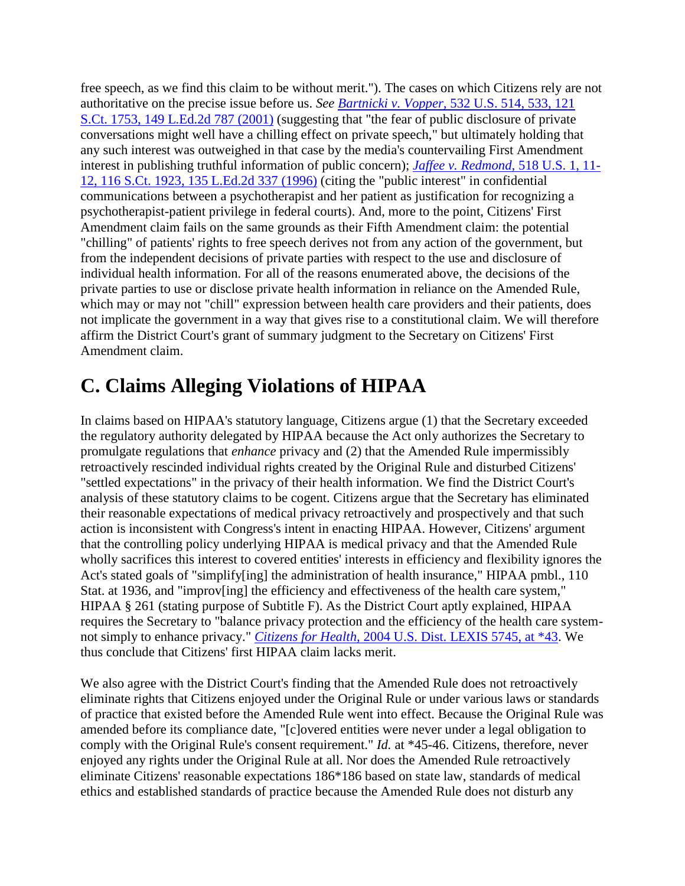free speech, as we find this claim to be without merit."). The cases on which Citizens rely are not authoritative on the precise issue before us. *See Bartnicki v. Vopper,* [532 U.S. 514, 533, 121](http://scholar.google.co.in/scholar_case?case=2171346211086974391&q=citizens+for+health+v.+leavitt&hl=en&as_sdt=2,5&scilh=0)  [S.Ct. 1753, 149 L.Ed.2d 787 \(2001\)](http://scholar.google.co.in/scholar_case?case=2171346211086974391&q=citizens+for+health+v.+leavitt&hl=en&as_sdt=2,5&scilh=0) (suggesting that "the fear of public disclosure of private conversations might well have a chilling effect on private speech," but ultimately holding that any such interest was outweighed in that case by the media's countervailing First Amendment interest in publishing truthful information of public concern); *[Jaffee v. Redmond,](http://scholar.google.co.in/scholar_case?case=365976032268433131&q=citizens+for+health+v.+leavitt&hl=en&as_sdt=2,5&scilh=0)* 518 U.S. 1, 11- [12, 116 S.Ct. 1923, 135 L.Ed.2d 337 \(1996\)](http://scholar.google.co.in/scholar_case?case=365976032268433131&q=citizens+for+health+v.+leavitt&hl=en&as_sdt=2,5&scilh=0) (citing the "public interest" in confidential communications between a psychotherapist and her patient as justification for recognizing a psychotherapist-patient privilege in federal courts). And, more to the point, Citizens' First Amendment claim fails on the same grounds as their Fifth Amendment claim: the potential "chilling" of patients' rights to free speech derives not from any action of the government, but from the independent decisions of private parties with respect to the use and disclosure of individual health information. For all of the reasons enumerated above, the decisions of the private parties to use or disclose private health information in reliance on the Amended Rule, which may or may not "chill" expression between health care providers and their patients, does not implicate the government in a way that gives rise to a constitutional claim. We will therefore affirm the District Court's grant of summary judgment to the Secretary on Citizens' First Amendment claim.

### **C. Claims Alleging Violations of HIPAA**

In claims based on HIPAA's statutory language, Citizens argue (1) that the Secretary exceeded the regulatory authority delegated by HIPAA because the Act only authorizes the Secretary to promulgate regulations that *enhance* privacy and (2) that the Amended Rule impermissibly retroactively rescinded individual rights created by the Original Rule and disturbed Citizens' "settled expectations" in the privacy of their health information. We find the District Court's analysis of these statutory claims to be cogent. Citizens argue that the Secretary has eliminated their reasonable expectations of medical privacy retroactively and prospectively and that such action is inconsistent with Congress's intent in enacting HIPAA. However, Citizens' argument that the controlling policy underlying HIPAA is medical privacy and that the Amended Rule wholly sacrifices this interest to covered entities' interests in efficiency and flexibility ignores the Act's stated goals of "simplify[ing] the administration of health insurance," HIPAA pmbl., 110 Stat. at 1936, and "improv[ing] the efficiency and effectiveness of the health care system," HIPAA § 261 (stating purpose of Subtitle F). As the District Court aptly explained, HIPAA requires the Secretary to "balance privacy protection and the efficiency of the health care systemnot simply to enhance privacy." *Citizens for Health,* [2004 U.S. Dist. LEXIS 5745, at \\*43.](http://scholar.google.co.in/scholar_case?about=5344599008571893984&q=citizens+for+health+v.+leavitt&hl=en&as_sdt=2,5&scilh=0) We thus conclude that Citizens' first HIPAA claim lacks merit.

We also agree with the District Court's finding that the Amended Rule does not retroactively eliminate rights that Citizens enjoyed under the Original Rule or under various laws or standards of practice that existed before the Amended Rule went into effect. Because the Original Rule was amended before its compliance date, "[c]overed entities were never under a legal obligation to comply with the Original Rule's consent requirement." *Id.* at \*45-46. Citizens, therefore, never enjoyed any rights under the Original Rule at all. Nor does the Amended Rule retroactively eliminate Citizens' reasonable expectations 186\*186 based on state law, standards of medical ethics and established standards of practice because the Amended Rule does not disturb any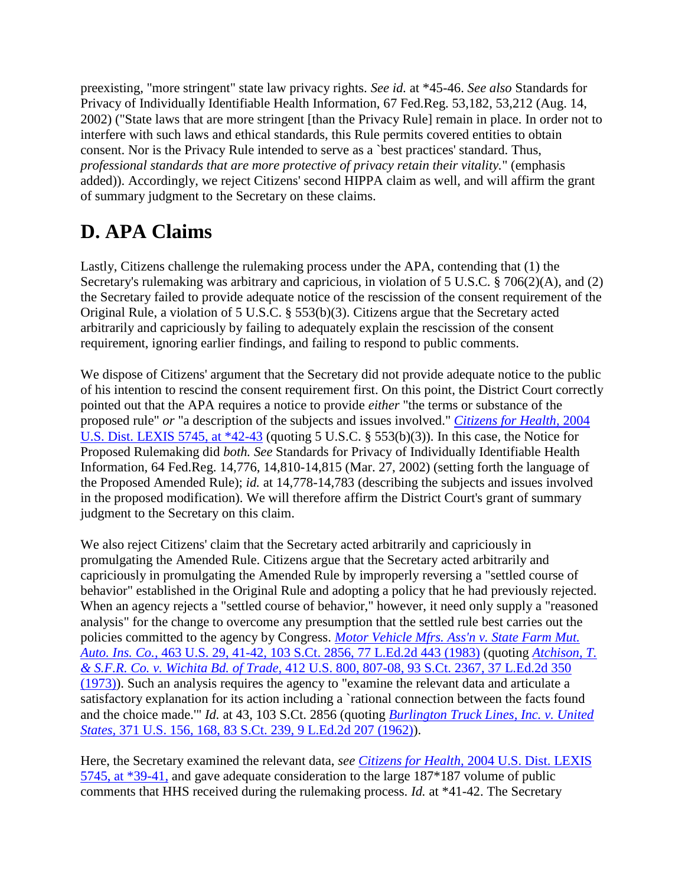preexisting, "more stringent" state law privacy rights. *See id.* at \*45-46. *See also* Standards for Privacy of Individually Identifiable Health Information, 67 Fed.Reg. 53,182, 53,212 (Aug. 14, 2002) ("State laws that are more stringent [than the Privacy Rule] remain in place. In order not to interfere with such laws and ethical standards, this Rule permits covered entities to obtain consent. Nor is the Privacy Rule intended to serve as a `best practices' standard. Thus, *professional standards that are more protective of privacy retain their vitality.*" (emphasis added)). Accordingly, we reject Citizens' second HIPPA claim as well, and will affirm the grant of summary judgment to the Secretary on these claims.

## **D. APA Claims**

Lastly, Citizens challenge the rulemaking process under the APA, contending that (1) the Secretary's rulemaking was arbitrary and capricious, in violation of 5 U.S.C. § 706(2)(A), and (2) the Secretary failed to provide adequate notice of the rescission of the consent requirement of the Original Rule, a violation of 5 U.S.C. § 553(b)(3). Citizens argue that the Secretary acted arbitrarily and capriciously by failing to adequately explain the rescission of the consent requirement, ignoring earlier findings, and failing to respond to public comments.

We dispose of Citizens' argument that the Secretary did not provide adequate notice to the public of his intention to rescind the consent requirement first. On this point, the District Court correctly pointed out that the APA requires a notice to provide *either* "the terms or substance of the proposed rule" *or* "a description of the subjects and issues involved." *[Citizens for Health,](http://scholar.google.co.in/scholar_case?about=5344599008571893984&q=citizens+for+health+v.+leavitt&hl=en&as_sdt=2,5&scilh=0)* 2004 [U.S. Dist. LEXIS 5745, at \\*42-43](http://scholar.google.co.in/scholar_case?about=5344599008571893984&q=citizens+for+health+v.+leavitt&hl=en&as_sdt=2,5&scilh=0) (quoting 5 U.S.C. § 553(b)(3)). In this case, the Notice for Proposed Rulemaking did *both. See* Standards for Privacy of Individually Identifiable Health Information, 64 Fed.Reg. 14,776, 14,810-14,815 (Mar. 27, 2002) (setting forth the language of the Proposed Amended Rule); *id.* at 14,778-14,783 (describing the subjects and issues involved in the proposed modification). We will therefore affirm the District Court's grant of summary judgment to the Secretary on this claim.

We also reject Citizens' claim that the Secretary acted arbitrarily and capriciously in promulgating the Amended Rule. Citizens argue that the Secretary acted arbitrarily and capriciously in promulgating the Amended Rule by improperly reversing a "settled course of behavior" established in the Original Rule and adopting a policy that he had previously rejected. When an agency rejects a "settled course of behavior," however, it need only supply a "reasoned analysis" for the change to overcome any presumption that the settled rule best carries out the policies committed to the agency by Congress. *[Motor Vehicle Mfrs. Ass'n v. State Farm Mut.](http://scholar.google.co.in/scholar_case?case=759595841034114890&q=citizens+for+health+v.+leavitt&hl=en&as_sdt=2,5&scilh=0)  Auto. Ins. Co.,* [463 U.S. 29, 41-42, 103 S.Ct. 2856, 77 L.Ed.2d 443 \(1983\)](http://scholar.google.co.in/scholar_case?case=759595841034114890&q=citizens+for+health+v.+leavitt&hl=en&as_sdt=2,5&scilh=0) (quoting *[Atchison, T.](http://scholar.google.co.in/scholar_case?case=1991381326164722099&q=citizens+for+health+v.+leavitt&hl=en&as_sdt=2,5&scilh=0)  & S.F.R. Co. v. Wichita Bd. of Trade,* [412 U.S. 800, 807-08, 93 S.Ct. 2367, 37 L.Ed.2d 350](http://scholar.google.co.in/scholar_case?case=1991381326164722099&q=citizens+for+health+v.+leavitt&hl=en&as_sdt=2,5&scilh=0)  [\(1973\)\)](http://scholar.google.co.in/scholar_case?case=1991381326164722099&q=citizens+for+health+v.+leavitt&hl=en&as_sdt=2,5&scilh=0). Such an analysis requires the agency to "examine the relevant data and articulate a satisfactory explanation for its action including a `rational connection between the facts found and the choice made.'" *Id.* at 43, 103 S.Ct. 2856 (quoting *[Burlington Truck Lines, Inc. v. United](http://scholar.google.co.in/scholar_case?case=13877070253057187976&q=citizens+for+health+v.+leavitt&hl=en&as_sdt=2,5&scilh=0)  States,* [371 U.S. 156, 168, 83 S.Ct. 239, 9 L.Ed.2d 207 \(1962\)\)](http://scholar.google.co.in/scholar_case?case=13877070253057187976&q=citizens+for+health+v.+leavitt&hl=en&as_sdt=2,5&scilh=0).

Here, the Secretary examined the relevant data, *see Citizens for Health,* [2004 U.S. Dist. LEXIS](http://scholar.google.co.in/scholar_case?about=5344599008571893984&q=citizens+for+health+v.+leavitt&hl=en&as_sdt=2,5&scilh=0)  [5745, at \\*39-41,](http://scholar.google.co.in/scholar_case?about=5344599008571893984&q=citizens+for+health+v.+leavitt&hl=en&as_sdt=2,5&scilh=0) and gave adequate consideration to the large 187\*187 volume of public comments that HHS received during the rulemaking process. *Id.* at \*41-42. The Secretary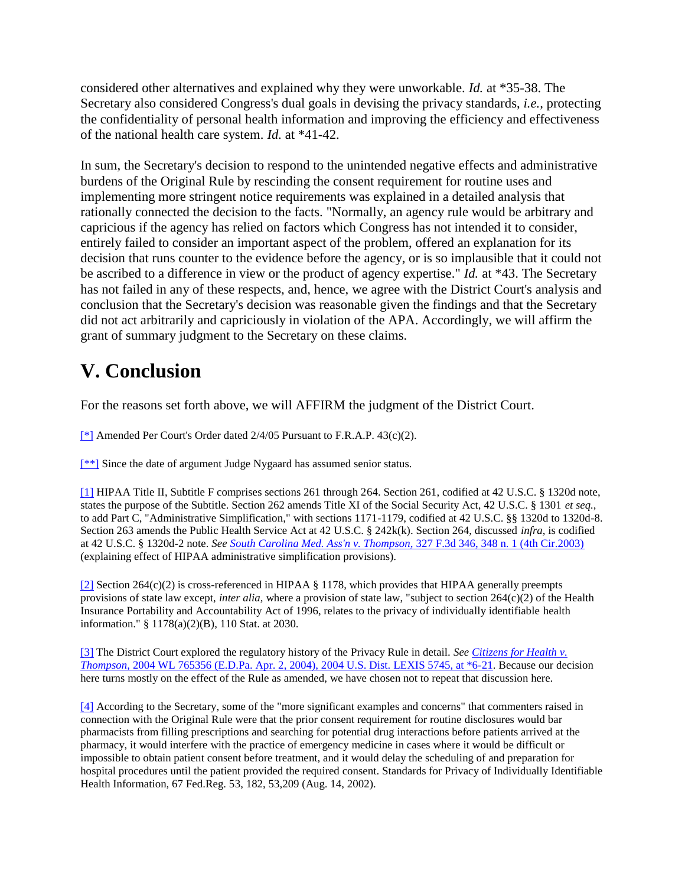considered other alternatives and explained why they were unworkable. *Id.* at \*35-38. The Secretary also considered Congress's dual goals in devising the privacy standards, *i.e.,* protecting the confidentiality of personal health information and improving the efficiency and effectiveness of the national health care system. *Id.* at \*41-42.

In sum, the Secretary's decision to respond to the unintended negative effects and administrative burdens of the Original Rule by rescinding the consent requirement for routine uses and implementing more stringent notice requirements was explained in a detailed analysis that rationally connected the decision to the facts. "Normally, an agency rule would be arbitrary and capricious if the agency has relied on factors which Congress has not intended it to consider, entirely failed to consider an important aspect of the problem, offered an explanation for its decision that runs counter to the evidence before the agency, or is so implausible that it could not be ascribed to a difference in view or the product of agency expertise." *Id.* at \*43. The Secretary has not failed in any of these respects, and, hence, we agree with the District Court's analysis and conclusion that the Secretary's decision was reasonable given the findings and that the Secretary did not act arbitrarily and capriciously in violation of the APA. Accordingly, we will affirm the grant of summary judgment to the Secretary on these claims.

## **V. Conclusion**

For the reasons set forth above, we will AFFIRM the judgment of the District Court.

[\[\\*\]](http://scholar.google.co.in/scholar_case?q=citizens+for+health+v.+leavitt&hl=en&as_sdt=2,5&case=9374757466978555083&scilh=0#r[1]) Amended Per Court's Order dated 2/4/05 Pursuant to F.R.A.P. 43(c)(2).

[\[\\*\\*\]](http://scholar.google.co.in/scholar_case?q=citizens+for+health+v.+leavitt&hl=en&as_sdt=2,5&case=9374757466978555083&scilh=0#r[2]) Since the date of argument Judge Nygaard has assumed senior status.

[\[1\]](http://scholar.google.co.in/scholar_case?q=citizens+for+health+v.+leavitt&hl=en&as_sdt=2,5&case=9374757466978555083&scilh=0#r[3]) HIPAA Title II, Subtitle F comprises sections 261 through 264. Section 261, codified at 42 U.S.C. § 1320d note, states the purpose of the Subtitle. Section 262 amends Title XI of the Social Security Act, 42 U.S.C. § 1301 *et seq.,* to add Part C, "Administrative Simplification," with sections 1171-1179, codified at 42 U.S.C. §§ 1320d to 1320d-8. Section 263 amends the Public Health Service Act at 42 U.S.C. § 242k(k). Section 264, discussed *infra,* is codified at 42 U.S.C. § 1320d-2 note. *Se[e South Carolina Med. Ass'n v. Thompson,](http://scholar.google.co.in/scholar_case?case=18146924909969673140&q=citizens+for+health+v.+leavitt&hl=en&as_sdt=2,5&scilh=0)* 327 F.3d 346, 348 n. 1 (4th Cir.2003) (explaining effect of HIPAA administrative simplification provisions).

[\[2\]](http://scholar.google.co.in/scholar_case?q=citizens+for+health+v.+leavitt&hl=en&as_sdt=2,5&case=9374757466978555083&scilh=0#r[4]) Section 264(c)(2) is cross-referenced in HIPAA  $\S$  1178, which provides that HIPAA generally preempts provisions of state law except, *inter alia,* where a provision of state law, "subject to section 264(c)(2) of the Health Insurance Portability and Accountability Act of 1996, relates to the privacy of individually identifiable health information." § 1178(a)(2)(B), 110 Stat. at 2030.

[\[3\]](http://scholar.google.co.in/scholar_case?q=citizens+for+health+v.+leavitt&hl=en&as_sdt=2,5&case=9374757466978555083&scilh=0#r[5]) The District Court explored the regulatory history of the Privacy Rule in detail. *See [Citizens for Health v.](http://scholar.google.co.in/scholar_case?about=5344599008571893984&q=citizens+for+health+v.+leavitt&hl=en&as_sdt=2,5&scilh=0)  Thompson,* [2004 WL 765356 \(E.D.Pa. Apr. 2, 2004\), 2004 U.S. Dist. LEXIS 5745, at \\*6-21.](http://scholar.google.co.in/scholar_case?about=5344599008571893984&q=citizens+for+health+v.+leavitt&hl=en&as_sdt=2,5&scilh=0) Because our decision here turns mostly on the effect of the Rule as amended, we have chosen not to repeat that discussion here.

[\[4\]](http://scholar.google.co.in/scholar_case?q=citizens+for+health+v.+leavitt&hl=en&as_sdt=2,5&case=9374757466978555083&scilh=0#r[6]) According to the Secretary, some of the "more significant examples and concerns" that commenters raised in connection with the Original Rule were that the prior consent requirement for routine disclosures would bar pharmacists from filling prescriptions and searching for potential drug interactions before patients arrived at the pharmacy, it would interfere with the practice of emergency medicine in cases where it would be difficult or impossible to obtain patient consent before treatment, and it would delay the scheduling of and preparation for hospital procedures until the patient provided the required consent. Standards for Privacy of Individually Identifiable Health Information, 67 Fed.Reg. 53, 182, 53,209 (Aug. 14, 2002).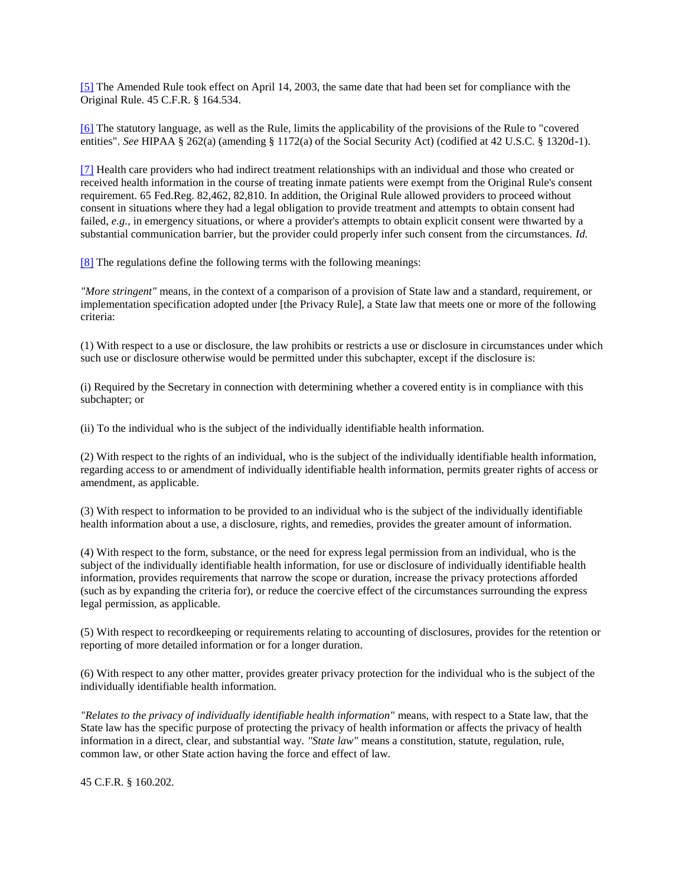[\[5\]](http://scholar.google.co.in/scholar_case?q=citizens+for+health+v.+leavitt&hl=en&as_sdt=2,5&case=9374757466978555083&scilh=0#r[7]) The Amended Rule took effect on April 14, 2003, the same date that had been set for compliance with the Original Rule. 45 C.F.R. § 164.534.

[\[6\]](http://scholar.google.co.in/scholar_case?q=citizens+for+health+v.+leavitt&hl=en&as_sdt=2,5&case=9374757466978555083&scilh=0#r[8]) The statutory language, as well as the Rule, limits the applicability of the provisions of the Rule to "covered entities". *See* HIPAA § 262(a) (amending § 1172(a) of the Social Security Act) (codified at 42 U.S.C. § 1320d-1).

[\[7\]](http://scholar.google.co.in/scholar_case?q=citizens+for+health+v.+leavitt&hl=en&as_sdt=2,5&case=9374757466978555083&scilh=0#r[9]) Health care providers who had indirect treatment relationships with an individual and those who created or received health information in the course of treating inmate patients were exempt from the Original Rule's consent requirement. 65 Fed.Reg. 82,462, 82,810. In addition, the Original Rule allowed providers to proceed without consent in situations where they had a legal obligation to provide treatment and attempts to obtain consent had failed, *e.g.*, in emergency situations, or where a provider's attempts to obtain explicit consent were thwarted by a substantial communication barrier, but the provider could properly infer such consent from the circumstances. *Id.*

[\[8\]](http://scholar.google.co.in/scholar_case?q=citizens+for+health+v.+leavitt&hl=en&as_sdt=2,5&case=9374757466978555083&scilh=0#r[10]) The regulations define the following terms with the following meanings:

*"More stringent"* means, in the context of a comparison of a provision of State law and a standard, requirement, or implementation specification adopted under [the Privacy Rule], a State law that meets one or more of the following criteria:

(1) With respect to a use or disclosure, the law prohibits or restricts a use or disclosure in circumstances under which such use or disclosure otherwise would be permitted under this subchapter, except if the disclosure is:

(i) Required by the Secretary in connection with determining whether a covered entity is in compliance with this subchapter; or

(ii) To the individual who is the subject of the individually identifiable health information.

(2) With respect to the rights of an individual, who is the subject of the individually identifiable health information, regarding access to or amendment of individually identifiable health information, permits greater rights of access or amendment, as applicable.

(3) With respect to information to be provided to an individual who is the subject of the individually identifiable health information about a use, a disclosure, rights, and remedies, provides the greater amount of information.

(4) With respect to the form, substance, or the need for express legal permission from an individual, who is the subject of the individually identifiable health information, for use or disclosure of individually identifiable health information, provides requirements that narrow the scope or duration, increase the privacy protections afforded (such as by expanding the criteria for), or reduce the coercive effect of the circumstances surrounding the express legal permission, as applicable.

(5) With respect to recordkeeping or requirements relating to accounting of disclosures, provides for the retention or reporting of more detailed information or for a longer duration.

(6) With respect to any other matter, provides greater privacy protection for the individual who is the subject of the individually identifiable health information.

*"Relates to the privacy of individually identifiable health information"* means, with respect to a State law, that the State law has the specific purpose of protecting the privacy of health information or affects the privacy of health information in a direct, clear, and substantial way. *"State law"* means a constitution, statute, regulation, rule, common law, or other State action having the force and effect of law.

45 C.F.R. § 160.202.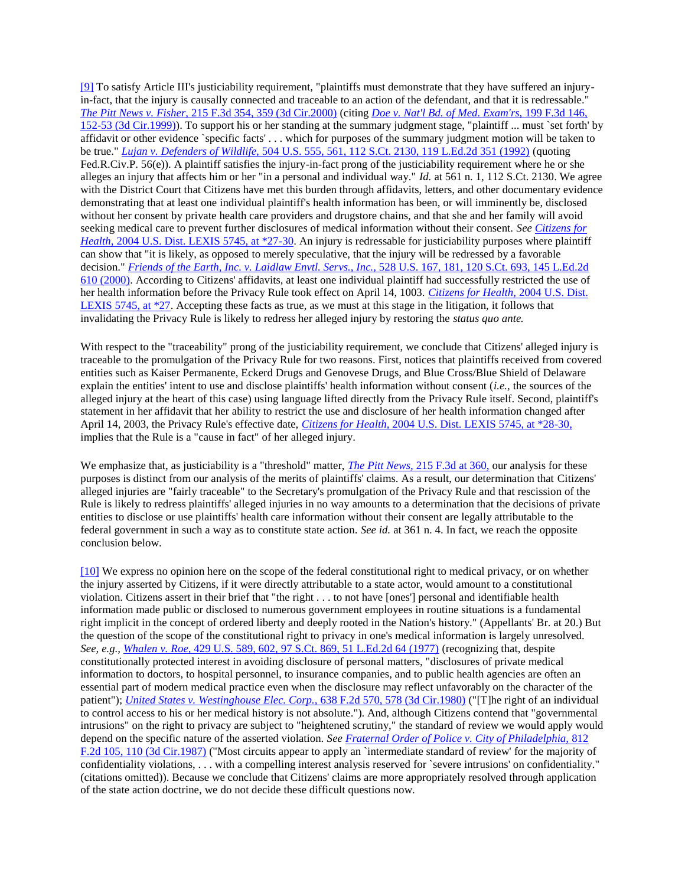[\[9\]](http://scholar.google.co.in/scholar_case?q=citizens+for+health+v.+leavitt&hl=en&as_sdt=2,5&case=9374757466978555083&scilh=0#r[11]) To satisfy Article III's justiciability requirement, "plaintiffs must demonstrate that they have suffered an injuryin-fact, that the injury is causally connected and traceable to an action of the defendant, and that it is redressable." *The Pitt News v. Fisher,* [215 F.3d 354, 359 \(3d Cir.2000\)](http://scholar.google.co.in/scholar_case?case=429512462635577825&q=citizens+for+health+v.+leavitt&hl=en&as_sdt=2,5&scilh=0) (citing *[Doe v. Nat'l Bd. of Med. Exam'rs,](http://scholar.google.co.in/scholar_case?case=10498459506259899713&q=citizens+for+health+v.+leavitt&hl=en&as_sdt=2,5&scilh=0)* 199 F.3d 146, [152-53 \(3d Cir.1999\)\)](http://scholar.google.co.in/scholar_case?case=10498459506259899713&q=citizens+for+health+v.+leavitt&hl=en&as_sdt=2,5&scilh=0). To support his or her standing at the summary judgment stage, "plaintiff ... must `set forth' by affidavit or other evidence `specific facts' . . . which for purposes of the summary judgment motion will be taken to be true." *Lujan v. Defenders of Wildlife,* [504 U.S. 555, 561, 112 S.Ct. 2130, 119 L.Ed.2d 351 \(1992\)](http://scholar.google.co.in/scholar_case?case=10150124802357408838&q=citizens+for+health+v.+leavitt&hl=en&as_sdt=2,5&scilh=0) (quoting Fed.R.Civ.P. 56(e)). A plaintiff satisfies the injury-in-fact prong of the justiciability requirement where he or she alleges an injury that affects him or her "in a personal and individual way." *Id.* at 561 n. 1, 112 S.Ct. 2130. We agree with the District Court that Citizens have met this burden through affidavits, letters, and other documentary evidence demonstrating that at least one individual plaintiff's health information has been, or will imminently be, disclosed without her consent by private health care providers and drugstore chains, and that she and her family will avoid seeking medical care to prevent further disclosures of medical information without their consent. *See [Citizens for](http://scholar.google.co.in/scholar_case?about=5344599008571893984&q=citizens+for+health+v.+leavitt&hl=en&as_sdt=2,5&scilh=0)  Health,* [2004 U.S. Dist. LEXIS 5745, at \\*27-30.](http://scholar.google.co.in/scholar_case?about=5344599008571893984&q=citizens+for+health+v.+leavitt&hl=en&as_sdt=2,5&scilh=0) An injury is redressable for justiciability purposes where plaintiff can show that "it is likely, as opposed to merely speculative, that the injury will be redressed by a favorable decision." *[Friends of the Earth, Inc. v. Laidlaw Envtl. Servs., Inc.,](http://scholar.google.co.in/scholar_case?case=5440560917097220943&q=citizens+for+health+v.+leavitt&hl=en&as_sdt=2,5&scilh=0)* 528 U.S. 167, 181, 120 S.Ct. 693, 145 L.Ed.2d [610 \(2000\).](http://scholar.google.co.in/scholar_case?case=5440560917097220943&q=citizens+for+health+v.+leavitt&hl=en&as_sdt=2,5&scilh=0) According to Citizens' affidavits, at least one individual plaintiff had successfully restricted the use of her health information before the Privacy Rule took effect on April 14, 1003. *[Citizens for Health,](http://scholar.google.co.in/scholar_case?about=5344599008571893984&q=citizens+for+health+v.+leavitt&hl=en&as_sdt=2,5&scilh=0)* 2004 U.S. Dist. [LEXIS 5745, at \\*27.](http://scholar.google.co.in/scholar_case?about=5344599008571893984&q=citizens+for+health+v.+leavitt&hl=en&as_sdt=2,5&scilh=0) Accepting these facts as true, as we must at this stage in the litigation, it follows that invalidating the Privacy Rule is likely to redress her alleged injury by restoring the *status quo ante.*

With respect to the "traceability" prong of the justiciability requirement, we conclude that Citizens' alleged injury is traceable to the promulgation of the Privacy Rule for two reasons. First, notices that plaintiffs received from covered entities such as Kaiser Permanente, Eckerd Drugs and Genovese Drugs, and Blue Cross/Blue Shield of Delaware explain the entities' intent to use and disclose plaintiffs' health information without consent (*i.e.,* the sources of the alleged injury at the heart of this case) using language lifted directly from the Privacy Rule itself. Second, plaintiff's statement in her affidavit that her ability to restrict the use and disclosure of her health information changed after April 14, 2003, the Privacy Rule's effective date, *Citizens for Health,* [2004 U.S. Dist. LEXIS 5745, at \\*28-30,](http://scholar.google.co.in/scholar_case?about=5344599008571893984&q=citizens+for+health+v.+leavitt&hl=en&as_sdt=2,5&scilh=0) implies that the Rule is a "cause in fact" of her alleged injury.

We emphasize that, as justiciability is a "threshold" matter, *The Pitt News*, [215 F.3d at 360,](http://scholar.google.co.in/scholar_case?case=429512462635577825&q=citizens+for+health+v.+leavitt&hl=en&as_sdt=2,5&scilh=0) our analysis for these purposes is distinct from our analysis of the merits of plaintiffs' claims. As a result, our determination that Citizens' alleged injuries are "fairly traceable" to the Secretary's promulgation of the Privacy Rule and that rescission of the Rule is likely to redress plaintiffs' alleged injuries in no way amounts to a determination that the decisions of private entities to disclose or use plaintiffs' health care information without their consent are legally attributable to the federal government in such a way as to constitute state action. *See id.* at 361 n. 4. In fact, we reach the opposite conclusion below.

[\[10\]](http://scholar.google.co.in/scholar_case?q=citizens+for+health+v.+leavitt&hl=en&as_sdt=2,5&case=9374757466978555083&scilh=0#r[12]) We express no opinion here on the scope of the federal constitutional right to medical privacy, or on whether the injury asserted by Citizens, if it were directly attributable to a state actor, would amount to a constitutional violation. Citizens assert in their brief that "the right . . . to not have [ones'] personal and identifiable health information made public or disclosed to numerous government employees in routine situations is a fundamental right implicit in the concept of ordered liberty and deeply rooted in the Nation's history." (Appellants' Br. at 20.) But the question of the scope of the constitutional right to privacy in one's medical information is largely unresolved. *See, e.g., Whalen v. Roe,* [429 U.S. 589, 602, 97 S.Ct. 869, 51 L.Ed.2d 64 \(1977\)](http://scholar.google.co.in/scholar_case?case=8555735987895894452&q=citizens+for+health+v.+leavitt&hl=en&as_sdt=2,5&scilh=0) (recognizing that, despite constitutionally protected interest in avoiding disclosure of personal matters, "disclosures of private medical information to doctors, to hospital personnel, to insurance companies, and to public health agencies are often an essential part of modern medical practice even when the disclosure may reflect unfavorably on the character of the patient"); *[United States v. Westinghouse Elec. Corp.,](http://scholar.google.co.in/scholar_case?case=10617585320101639909&q=citizens+for+health+v.+leavitt&hl=en&as_sdt=2,5&scilh=0)* 638 F.2d 570, 578 (3d Cir.1980) ("[T]he right of an individual to control access to his or her medical history is not absolute."). And, although Citizens contend that "governmental intrusions" on the right to privacy are subject to "heightened scrutiny," the standard of review we would apply would depend on the specific nature of the asserted violation. *See [Fraternal Order of Police v. City of Philadelphia,](http://scholar.google.co.in/scholar_case?case=12444027463943179437&q=citizens+for+health+v.+leavitt&hl=en&as_sdt=2,5&scilh=0)* 812 [F.2d 105, 110 \(3d Cir.1987\)](http://scholar.google.co.in/scholar_case?case=12444027463943179437&q=citizens+for+health+v.+leavitt&hl=en&as_sdt=2,5&scilh=0) ("Most circuits appear to apply an `intermediate standard of review' for the majority of confidentiality violations, . . . with a compelling interest analysis reserved for `severe intrusions' on confidentiality." (citations omitted)). Because we conclude that Citizens' claims are more appropriately resolved through application of the state action doctrine, we do not decide these difficult questions now.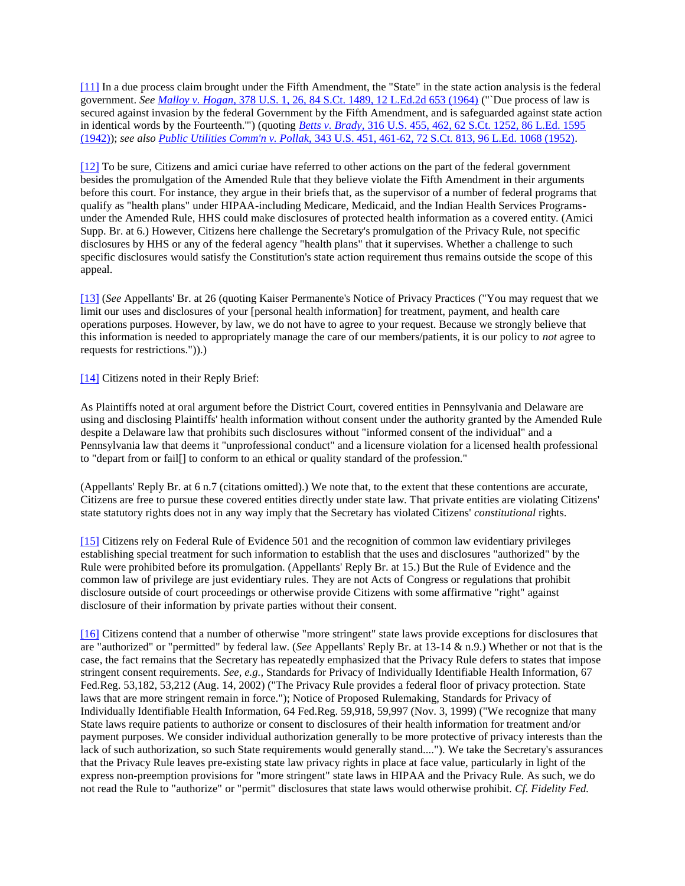[\[11\]](http://scholar.google.co.in/scholar_case?q=citizens+for+health+v.+leavitt&hl=en&as_sdt=2,5&case=9374757466978555083&scilh=0#r[13]) In a due process claim brought under the Fifth Amendment, the "State" in the state action analysis is the federal government. *See Malloy v. Hogan,* 378 U.S. 1, 26, [84 S.Ct. 1489, 12 L.Ed.2d 653 \(1964\)](http://scholar.google.co.in/scholar_case?case=12010176256968142269&q=citizens+for+health+v.+leavitt&hl=en&as_sdt=2,5&scilh=0) ("`Due process of law is secured against invasion by the federal Government by the Fifth Amendment, and is safeguarded against state action in identical words by the Fourteenth.'") (quoting *Betts v. Brady,* [316 U.S. 455, 462, 62 S.Ct. 1252, 86 L.Ed. 1595](http://scholar.google.co.in/scholar_case?case=13129466388341049301&q=citizens+for+health+v.+leavitt&hl=en&as_sdt=2,5&scilh=0)  [\(1942\)\)](http://scholar.google.co.in/scholar_case?case=13129466388341049301&q=citizens+for+health+v.+leavitt&hl=en&as_sdt=2,5&scilh=0); *see also Public Utilities Comm'n v. Pollak,* [343 U.S. 451, 461-62, 72 S.Ct. 813, 96 L.Ed. 1068 \(1952\).](http://scholar.google.co.in/scholar_case?case=12329699326747669166&q=citizens+for+health+v.+leavitt&hl=en&as_sdt=2,5&scilh=0)

[\[12\]](http://scholar.google.co.in/scholar_case?q=citizens+for+health+v.+leavitt&hl=en&as_sdt=2,5&case=9374757466978555083&scilh=0#r[14]) To be sure, Citizens and amici curiae have referred to other actions on the part of the federal government besides the promulgation of the Amended Rule that they believe violate the Fifth Amendment in their arguments before this court. For instance, they argue in their briefs that, as the supervisor of a number of federal programs that qualify as "health plans" under HIPAA-including Medicare, Medicaid, and the Indian Health Services Programsunder the Amended Rule, HHS could make disclosures of protected health information as a covered entity. (Amici Supp. Br. at 6.) However, Citizens here challenge the Secretary's promulgation of the Privacy Rule, not specific disclosures by HHS or any of the federal agency "health plans" that it supervises. Whether a challenge to such specific disclosures would satisfy the Constitution's state action requirement thus remains outside the scope of this appeal.

[\[13\]](http://scholar.google.co.in/scholar_case?q=citizens+for+health+v.+leavitt&hl=en&as_sdt=2,5&case=9374757466978555083&scilh=0#r[15]) (*See* Appellants' Br. at 26 (quoting Kaiser Permanente's Notice of Privacy Practices ("You may request that we limit our uses and disclosures of your [personal health information] for treatment, payment, and health care operations purposes. However, by law, we do not have to agree to your request. Because we strongly believe that this information is needed to appropriately manage the care of our members/patients, it is our policy to *not* agree to requests for restrictions.")).)

#### [\[14\]](http://scholar.google.co.in/scholar_case?q=citizens+for+health+v.+leavitt&hl=en&as_sdt=2,5&case=9374757466978555083&scilh=0#r[16]) Citizens noted in their Reply Brief:

As Plaintiffs noted at oral argument before the District Court, covered entities in Pennsylvania and Delaware are using and disclosing Plaintiffs' health information without consent under the authority granted by the Amended Rule despite a Delaware law that prohibits such disclosures without "informed consent of the individual" and a Pennsylvania law that deems it "unprofessional conduct" and a licensure violation for a licensed health professional to "depart from or fail[] to conform to an ethical or quality standard of the profession."

(Appellants' Reply Br. at 6 n.7 (citations omitted).) We note that, to the extent that these contentions are accurate, Citizens are free to pursue these covered entities directly under state law. That private entities are violating Citizens' state statutory rights does not in any way imply that the Secretary has violated Citizens' *constitutional* rights.

[\[15\]](http://scholar.google.co.in/scholar_case?q=citizens+for+health+v.+leavitt&hl=en&as_sdt=2,5&case=9374757466978555083&scilh=0#r[17]) Citizens rely on Federal Rule of Evidence 501 and the recognition of common law evidentiary privileges establishing special treatment for such information to establish that the uses and disclosures "authorized" by the Rule were prohibited before its promulgation. (Appellants' Reply Br. at 15.) But the Rule of Evidence and the common law of privilege are just evidentiary rules. They are not Acts of Congress or regulations that prohibit disclosure outside of court proceedings or otherwise provide Citizens with some affirmative "right" against disclosure of their information by private parties without their consent.

[\[16\]](http://scholar.google.co.in/scholar_case?q=citizens+for+health+v.+leavitt&hl=en&as_sdt=2,5&case=9374757466978555083&scilh=0#r[18]) Citizens contend that a number of otherwise "more stringent" state laws provide exceptions for disclosures that are "authorized" or "permitted" by federal law. (*See* Appellants' Reply Br. at 13-14 & n.9.) Whether or not that is the case, the fact remains that the Secretary has repeatedly emphasized that the Privacy Rule defers to states that impose stringent consent requirements. *See, e.g.,* Standards for Privacy of Individually Identifiable Health Information, 67 Fed.Reg. 53,182, 53,212 (Aug. 14, 2002) ("The Privacy Rule provides a federal floor of privacy protection. State laws that are more stringent remain in force."); Notice of Proposed Rulemaking, Standards for Privacy of Individually Identifiable Health Information, 64 Fed.Reg. 59,918, 59,997 (Nov. 3, 1999) ("We recognize that many State laws require patients to authorize or consent to disclosures of their health information for treatment and/or payment purposes. We consider individual authorization generally to be more protective of privacy interests than the lack of such authorization, so such State requirements would generally stand...."). We take the Secretary's assurances that the Privacy Rule leaves pre-existing state law privacy rights in place at face value, particularly in light of the express non-preemption provisions for "more stringent" state laws in HIPAA and the Privacy Rule. As such, we do not read the Rule to "authorize" or "permit" disclosures that state laws would otherwise prohibit. *Cf. Fidelity Fed.*